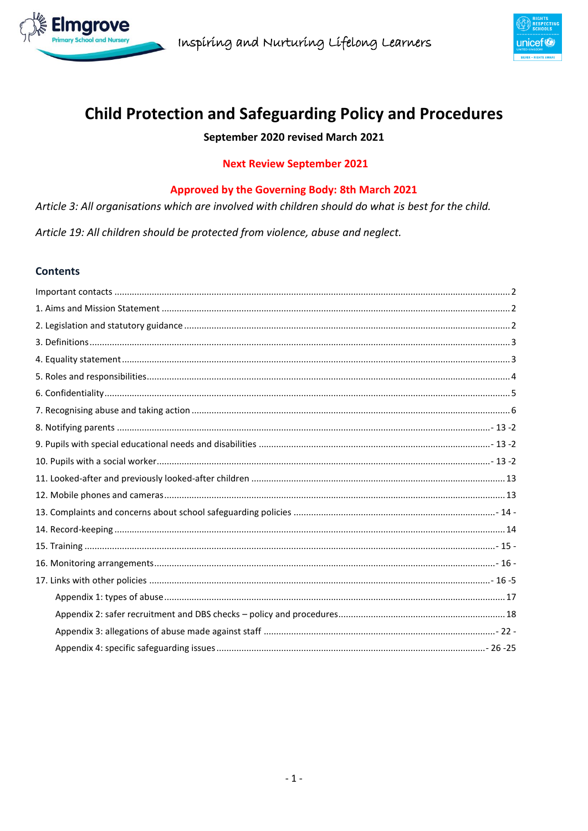



# **Child Protection and Safeguarding Policy and Procedures**

# September 2020 revised March 2021

# **Next Review September 2021**

# Approved by the Governing Body: 8th March 2021

Article 3: All organisations which are involved with children should do what is best for the child.

Article 19: All children should be protected from violence, abuse and neglect.

#### **Contents**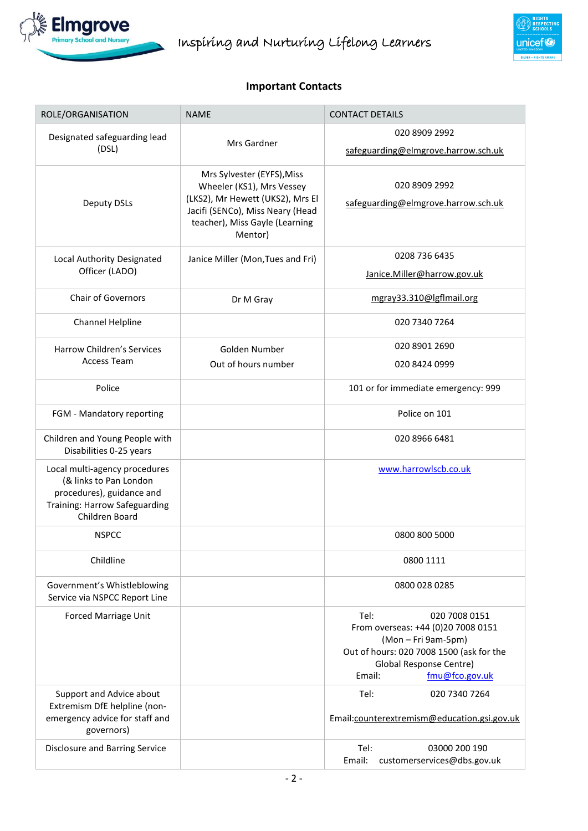

# **Important Contacts**

<span id="page-1-0"></span>

| ROLE/ORGANISATION                                                                                                                       | <b>NAME</b>                                                                                                                                                                  | <b>CONTACT DETAILS</b>                                                                                                                                                                |  |
|-----------------------------------------------------------------------------------------------------------------------------------------|------------------------------------------------------------------------------------------------------------------------------------------------------------------------------|---------------------------------------------------------------------------------------------------------------------------------------------------------------------------------------|--|
| Designated safeguarding lead<br>(DSL)                                                                                                   | Mrs Gardner                                                                                                                                                                  | 020 8909 2992<br>safeguarding@elmgrove.harrow.sch.uk                                                                                                                                  |  |
| Deputy DSLs                                                                                                                             | Mrs Sylvester (EYFS), Miss<br>Wheeler (KS1), Mrs Vessey<br>(LKS2), Mr Hewett (UKS2), Mrs El<br>Jacifi (SENCo), Miss Neary (Head<br>teacher), Miss Gayle (Learning<br>Mentor) | 020 8909 2992<br>safeguarding@elmgrove.harrow.sch.uk                                                                                                                                  |  |
| Local Authority Designated<br>Officer (LADO)                                                                                            | Janice Miller (Mon, Tues and Fri)                                                                                                                                            | 0208 736 6435<br>Janice.Miller@harrow.gov.uk                                                                                                                                          |  |
| <b>Chair of Governors</b>                                                                                                               | Dr M Gray                                                                                                                                                                    | mgray33.310@lgflmail.org                                                                                                                                                              |  |
| Channel Helpline                                                                                                                        |                                                                                                                                                                              | 020 7340 7264                                                                                                                                                                         |  |
| <b>Harrow Children's Services</b>                                                                                                       | Golden Number                                                                                                                                                                | 020 8901 2690                                                                                                                                                                         |  |
| <b>Access Team</b>                                                                                                                      | Out of hours number                                                                                                                                                          | 020 8424 0999                                                                                                                                                                         |  |
| Police                                                                                                                                  |                                                                                                                                                                              | 101 or for immediate emergency: 999                                                                                                                                                   |  |
| FGM - Mandatory reporting                                                                                                               |                                                                                                                                                                              | Police on 101                                                                                                                                                                         |  |
| Children and Young People with<br>Disabilities 0-25 years                                                                               |                                                                                                                                                                              | 020 8966 6481                                                                                                                                                                         |  |
| Local multi-agency procedures<br>(& links to Pan London<br>procedures), guidance and<br>Training: Harrow Safeguarding<br>Children Board |                                                                                                                                                                              | www.harrowlscb.co.uk                                                                                                                                                                  |  |
| <b>NSPCC</b>                                                                                                                            |                                                                                                                                                                              | 0800 800 5000                                                                                                                                                                         |  |
| Childline                                                                                                                               |                                                                                                                                                                              | 0800 1111                                                                                                                                                                             |  |
| Government's Whistleblowing<br>Service via NSPCC Report Line                                                                            |                                                                                                                                                                              | 0800 028 0285                                                                                                                                                                         |  |
| Forced Marriage Unit                                                                                                                    |                                                                                                                                                                              | Tel:<br>020 7008 0151<br>From overseas: +44 (0)20 7008 0151<br>(Mon - Fri 9am-5pm)<br>Out of hours: 020 7008 1500 (ask for the<br>Global Response Centre)<br>fmu@fco.gov.uk<br>Email: |  |
| Support and Advice about<br>Extremism DfE helpline (non-<br>emergency advice for staff and<br>governors)                                |                                                                                                                                                                              | Tel:<br>020 7340 7264<br>Email:counterextremism@education.gsi.gov.uk                                                                                                                  |  |
| Disclosure and Barring Service                                                                                                          |                                                                                                                                                                              | Tel:<br>03000 200 190<br>Email:<br>customerservices@dbs.gov.uk                                                                                                                        |  |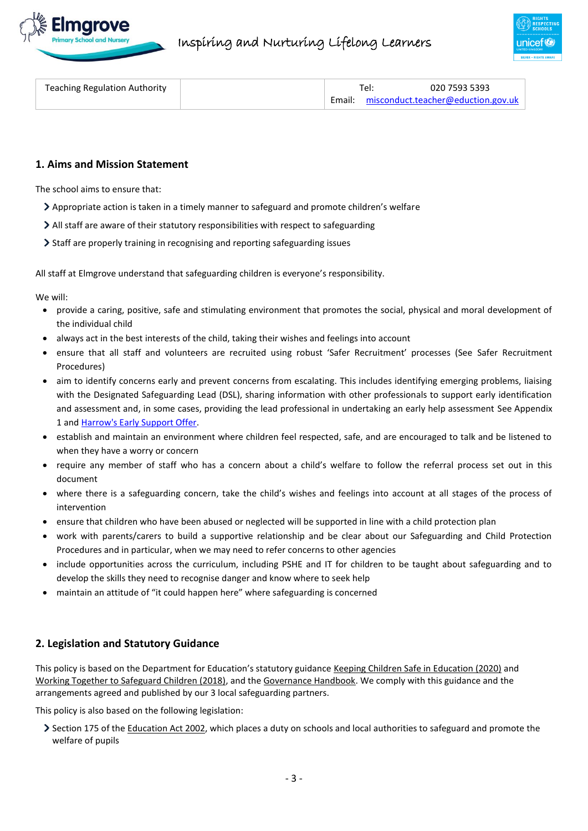



| <b>Teaching Regulation Authority</b> |  | $Te$ : | 020 7593 5393                                |
|--------------------------------------|--|--------|----------------------------------------------|
|                                      |  |        | Email: $misconduct. teacher@eduction.gov.uk$ |

#### <span id="page-2-0"></span>**1. Aims and Mission Statement**

The school aims to ensure that:

- Appropriate action is taken in a timely manner to safeguard and promote children's welfare
- All staff are aware of their statutory responsibilities with respect to safeguarding
- Staff are properly training in recognising and reporting safeguarding issues

All staff at Elmgrove understand that safeguarding children is everyone's responsibility.

We will:

- provide a caring, positive, safe and stimulating environment that promotes the social, physical and moral development of the individual child
- always act in the best interests of the child, taking their wishes and feelings into account
- ensure that all staff and volunteers are recruited using robust 'Safer Recruitment' processes (See Safer Recruitment Procedures)
- aim to identify concerns early and prevent concerns from escalating. This includes identifying emerging problems, liaising with the Designated Safeguarding Lead (DSL), sharing information with other professionals to support early identification and assessment and, in some cases, providing the lead professional in undertaking an early help assessment See Appendix 1 an[d Harrow's Early Support Offer.](http://www.harrowlscb.co.uk/parents-carers/early-help/)
- establish and maintain an environment where children feel respected, safe, and are encouraged to talk and be listened to when they have a worry or concern
- require any member of staff who has a concern about a child's welfare to follow the referral process set out in this document
- where there is a safeguarding concern, take the child's wishes and feelings into account at all stages of the process of intervention
- ensure that children who have been abused or neglected will be supported in line with a child protection plan
- work with parents/carers to build a supportive relationship and be clear about our Safeguarding and Child Protection Procedures and in particular, when we may need to refer concerns to other agencies
- include opportunities across the curriculum, including PSHE and IT for children to be taught about safeguarding and to develop the skills they need to recognise danger and know where to seek help
- maintain an attitude of "it could happen here" where safeguarding is concerned

# <span id="page-2-1"></span>**2. Legislation and Statutory Guidance**

This policy is based on the Department for Education's statutory guidance [Keeping Children Safe in Education \(2020\)](https://www.gov.uk/government/publications/keeping-children-safe-in-education--2) and [Working Together to Safeguard Children \(2018\),](https://www.gov.uk/government/publications/working-together-to-safeguard-children--2) and the [Governance Handbook.](https://www.gov.uk/government/publications/governance-handbook) We comply with this guidance and the arrangements agreed and published by our 3 local safeguarding partners.

This policy is also based on the following legislation:

Section 175 of the [Education Act 2002,](http://www.legislation.gov.uk/ukpga/2002/32/section/175) which places a duty on schools and local authorities to safeguard and promote the welfare of pupils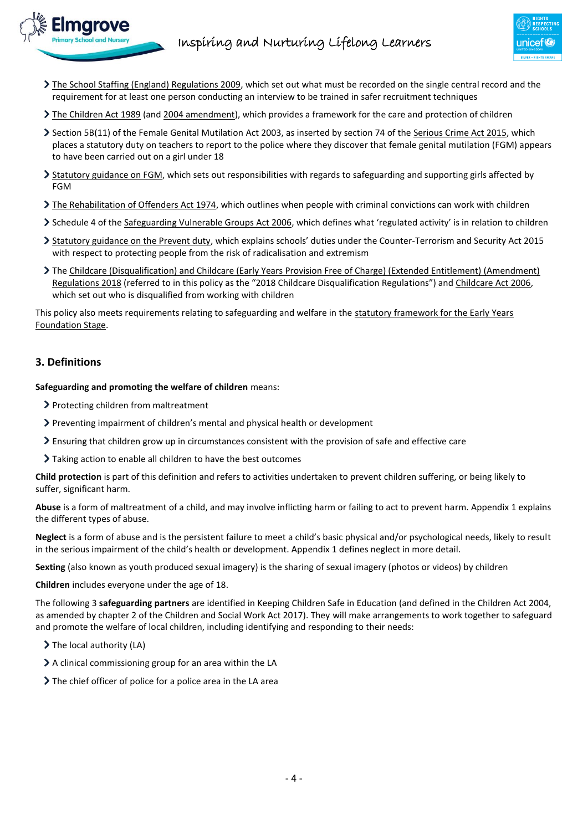

- [The School Staffing \(England\) Regulations 2009,](http://www.legislation.gov.uk/uksi/2009/2680/contents/made) which set out what must be recorded on the single central record and the requirement for at least one person conducting an interview to be trained in safer recruitment techniques
- > [The Children Act 1989](http://www.legislation.gov.uk/ukpga/1989/41) (an[d 2004 amendment\)](http://www.legislation.gov.uk/ukpga/2004/31/contents), which provides a framework for the care and protection of children
- Section 5B(11) of the Female Genital Mutilation Act 2003, as inserted by section 74 of the [Serious Crime Act 2015,](http://www.legislation.gov.uk/ukpga/2015/9/part/5/crossheading/female-genital-mutilation) which places a statutory duty on teachers to report to the police where they discover that female genital mutilation (FGM) appears to have been carried out on a girl under 18
- > [Statutory guidance on FGM,](https://www.gov.uk/government/publications/multi-agency-statutory-guidance-on-female-genital-mutilation) which sets out responsibilities with regards to safeguarding and supporting girls affected by FGM
- [The Rehabilitation of Offenders Act 1974,](http://www.legislation.gov.uk/ukpga/1974/53) which outlines when people with criminal convictions can work with children
- Schedule 4 of the [Safeguarding Vulnerable Groups Act 2006](http://www.legislation.gov.uk/ukpga/2006/47/schedule/4), which defines what 'regulated activity' is in relation to children
- [Statutory guidance on the Prevent duty](https://www.gov.uk/government/publications/prevent-duty-guidance), which explains schools' duties under the Counter-Terrorism and Security Act 2015 with respect to protecting people from the risk of radicalisation and extremism
- Th[e Childcare \(Disqualification\) and Childcare \(Early Years Provision Free of Charge\) \(Extended Entitlement\) \(Amendment\)](http://www.legislation.gov.uk/uksi/2018/794/contents/made)  [Regulations 2018](http://www.legislation.gov.uk/uksi/2018/794/contents/made) (referred to in this policy as the "2018 Childcare Disqualification Regulations") and [Childcare Act 2006,](http://www.legislation.gov.uk/ukpga/2006/21/contents) which set out who is disqualified from working with children

This policy also meets requirements relating to safeguarding and welfare in the [statutory framework for the Early Years](https://www.gov.uk/government/publications/early-years-foundation-stage-framework--2)  [Foundation Stage.](https://www.gov.uk/government/publications/early-years-foundation-stage-framework--2)

# <span id="page-3-0"></span>**3. Definitions**

**Safeguarding and promoting the welfare of children** means:

- > Protecting children from maltreatment
- Preventing impairment of children's mental and physical health or development
- Ensuring that children grow up in circumstances consistent with the provision of safe and effective care
- > Taking action to enable all children to have the best outcomes

**Child protection** is part of this definition and refers to activities undertaken to prevent children suffering, or being likely to suffer, significant harm.

**Abuse** is a form of maltreatment of a child, and may involve inflicting harm or failing to act to prevent harm. Appendix 1 explains the different types of abuse.

**Neglect** is a form of abuse and is the persistent failure to meet a child's basic physical and/or psychological needs, likely to result in the serious impairment of the child's health or development. Appendix 1 defines neglect in more detail.

**Sexting** (also known as youth produced sexual imagery) is the sharing of sexual imagery (photos or videos) by children

**Children** includes everyone under the age of 18.

The following 3 **safeguarding partners** are identified in Keeping Children Safe in Education (and defined in the Children Act 2004, as amended by chapter 2 of the Children and Social Work Act 2017). They will make arrangements to work together to safeguard and promote the welfare of local children, including identifying and responding to their needs:

- $\triangleright$  The local authority (LA)
- $\geq$  A clinical commissioning group for an area within the LA
- <span id="page-3-1"></span>The chief officer of police for a police area in the LA area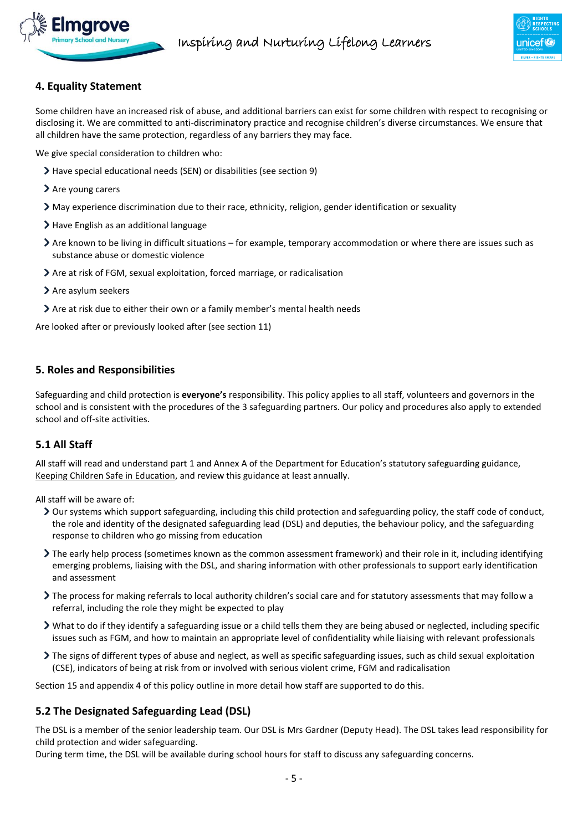

# **4. Equality Statement**

Some children have an increased risk of abuse, and additional barriers can exist for some children with respect to recognising or disclosing it. We are committed to anti-discriminatory practice and recognise children's diverse circumstances. We ensure that all children have the same protection, regardless of any barriers they may face.

We give special consideration to children who:

- Have special educational needs (SEN) or disabilities (see section 9)
- > Are young carers
- May experience discrimination due to their race, ethnicity, religion, gender identification or sexuality
- > Have English as an additional language
- Are known to be living in difficult situations for example, temporary accommodation or where there are issues such as substance abuse or domestic violence
- Are at risk of FGM, sexual exploitation, forced marriage, or radicalisation
- $\geq$  Are asylum seekers
- <span id="page-4-0"></span>Are at risk due to either their own or a family member's mental health needs

Are looked after or previously looked after (see section 11)

# **5. Roles and Responsibilities**

Safeguarding and child protection is **everyone's** responsibility. This policy applies to all staff, volunteers and governors in the school and is consistent with the procedures of the 3 safeguarding partners. Our policy and procedures also apply to extended school and off-site activities.

# **5.1 All Staff**

All staff will read and understand part 1 and Annex A of the Department for Education's statutory safeguarding guidance, [Keeping Children Safe in Education,](https://www.gov.uk/government/publications/keeping-children-safe-in-education--2) and review this guidance at least annually.

All staff will be aware of:

- Our systems which support safeguarding, including this child protection and safeguarding policy, the staff code of conduct, the role and identity of the designated safeguarding lead (DSL) and deputies, the behaviour policy, and the safeguarding response to children who go missing from education
- The early help process (sometimes known as the common assessment framework) and their role in it, including identifying emerging problems, liaising with the DSL, and sharing information with other professionals to support early identification and assessment
- The process for making referrals to local authority children's social care and for statutory assessments that may follow a referral, including the role they might be expected to play
- What to do if they identify a safeguarding issue or a child tells them they are being abused or neglected, including specific issues such as FGM, and how to maintain an appropriate level of confidentiality while liaising with relevant professionals
- The signs of different types of abuse and neglect, as well as specific safeguarding issues, such as child sexual exploitation (CSE), indicators of being at risk from or involved with serious violent crime, FGM and radicalisation

Section 15 and appendix 4 of this policy outline in more detail how staff are supported to do this.

# **5.2 The Designated Safeguarding Lead (DSL)**

The DSL is a member of the senior leadership team. Our DSL is Mrs Gardner (Deputy Head). The DSL takes lead responsibility for child protection and wider safeguarding.

During term time, the DSL will be available during school hours for staff to discuss any safeguarding concerns.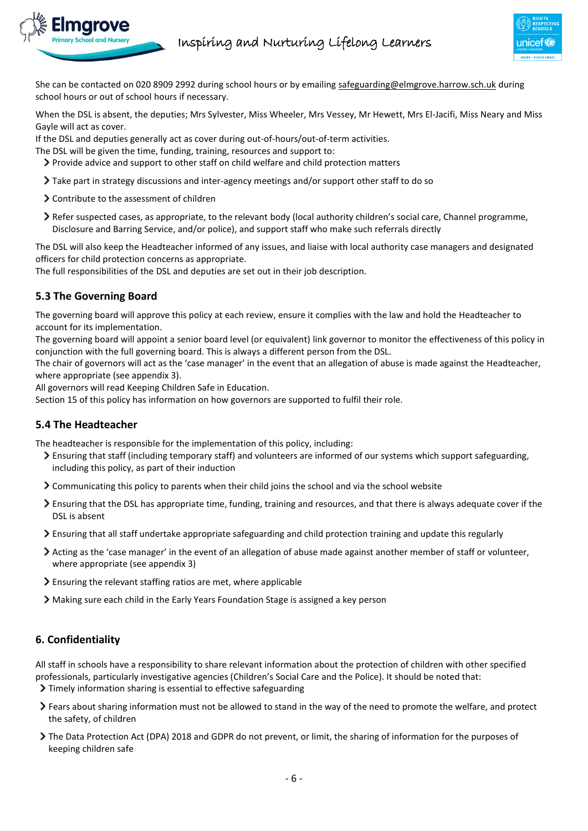

She can be contacted on 020 8909 2992 during school hours or by emailing [safeguarding@elmgrove.harrow.sch.uk](mailto:safeguarding@elmgrove.harrow.sch.uk) during school hours or out of school hours if necessary.

When the DSL is absent, the deputies; Mrs Sylvester, Miss Wheeler, Mrs Vessey, Mr Hewett, Mrs El-Jacifi, Miss Neary and Miss Gayle will act as cover.

If the DSL and deputies generally act as cover during out-of-hours/out-of-term activities.

The DSL will be given the time, funding, training, resources and support to:

- Provide advice and support to other staff on child welfare and child protection matters
- Take part in strategy discussions and inter-agency meetings and/or support other staff to do so
- Contribute to the assessment of children
- Refer suspected cases, as appropriate, to the relevant body (local authority children's social care, Channel programme, Disclosure and Barring Service, and/or police), and support staff who make such referrals directly

The DSL will also keep the Headteacher informed of any issues, and liaise with local authority case managers and designated officers for child protection concerns as appropriate.

The full responsibilities of the DSL and deputies are set out in their job description.

# **5.3 The Governing Board**

The governing board will approve this policy at each review, ensure it complies with the law and hold the Headteacher to account for its implementation.

The governing board will appoint a senior board level (or equivalent) link governor to monitor the effectiveness of this policy in conjunction with the full governing board. This is always a different person from the DSL.

The chair of governors will act as the 'case manager' in the event that an allegation of abuse is made against the Headteacher, where appropriate (see appendix 3).

All governors will read Keeping Children Safe in Education.

Section 15 of this policy has information on how governors are supported to fulfil their role.

# **5.4 The Headteacher**

The headteacher is responsible for the implementation of this policy, including:

- Ensuring that staff (including temporary staff) and volunteers are informed of our systems which support safeguarding, including this policy, as part of their induction
- Communicating this policy to parents when their child joins the school and via the school website
- $\geq$  Ensuring that the DSL has appropriate time, funding, training and resources, and that there is always adequate cover if the DSL is absent
- Ensuring that all staff undertake appropriate safeguarding and child protection training and update this regularly
- Acting as the 'case manager' in the event of an allegation of abuse made against another member of staff or volunteer, where appropriate (see appendix 3)
- $\geq$  Ensuring the relevant staffing ratios are met, where applicable
- Making sure each child in the Early Years Foundation Stage is assigned a key person

# <span id="page-5-0"></span>**6. Confidentiality**

All staff in schools have a responsibility to share relevant information about the protection of children with other specified professionals, particularly investigative agencies (Children's Social Care and the Police). It should be noted that:

- Timely information sharing is essential to effective safeguarding
- Fears about sharing information must not be allowed to stand in the way of the need to promote the welfare, and protect the safety, of children
- The Data Protection Act (DPA) 2018 and GDPR do not prevent, or limit, the sharing of information for the purposes of keeping children safe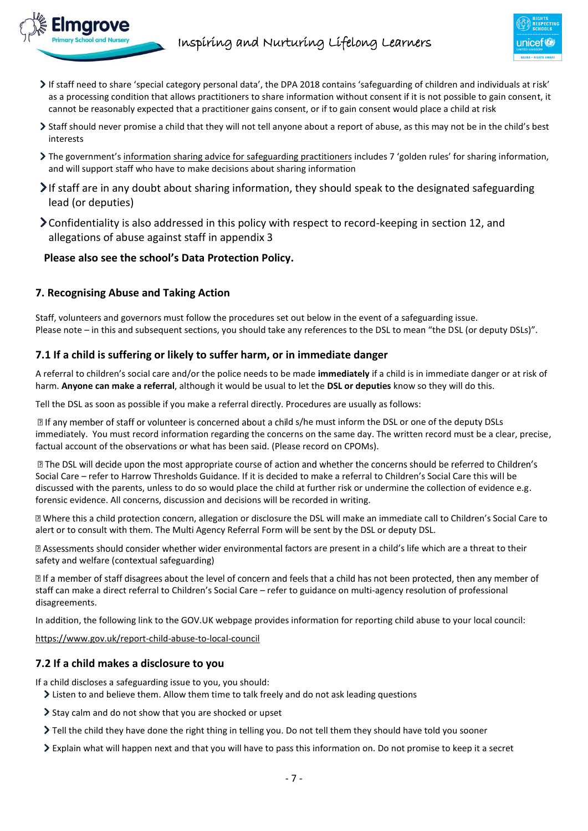- If staff need to share 'special category personal data', the DPA 2018 contains 'safeguarding of children and individuals at risk' as a processing condition that allows practitioners to share information without consent if it is not possible to gain consent, it cannot be reasonably expected that a practitioner gains consent, or if to gain consent would place a child at risk
- Staff should never promise a child that they will not tell anyone about a report of abuse, as this may not be in the child's best interests
- The government's [information sharing advice for safeguarding practitioners](https://www.gov.uk/government/publications/safeguarding-practitioners-information-sharing-advice) includes 7 'golden rules' for sharing information, and will support staff who have to make decisions about sharing information
- If staff are in any doubt about sharing information, they should speak to the designated safeguarding lead (or deputies)
- Confidentiality is also addressed in this policy with respect to record-keeping in section 12, and allegations of abuse against staff in appendix 3

# **Please also see the school's Data Protection Policy.**

# <span id="page-6-0"></span>**7. Recognising Abuse and Taking Action**

Staff, volunteers and governors must follow the procedures set out below in the event of a safeguarding issue. Please note – in this and subsequent sections, you should take any references to the DSL to mean "the DSL (or deputy DSLs)".

# **7.1 If a child is suffering or likely to suffer harm, or in immediate danger**

A referral to children's social care and/or the police needs to be made **immediately** if a child is in immediate danger or at risk of harm. **Anyone can make a referral**, although it would be usual to let the **DSL or deputies** know so they will do this.

Tell the DSL as soon as possible if you make a referral directly. Procedures are usually as follows:

If any member of staff or volunteer is concerned about a child s/he must inform the DSL or one of the deputy DSLs immediately. You must record information regarding the concerns on the same day. The written record must be a clear, precise, factual account of the observations or what has been said. (Please record on CPOMs).

I The DSL will decide upon the most appropriate course of action and whether the concerns should be referred to Children's Social Care – refer to Harrow Thresholds Guidance. If it is decided to make a referral to Children's Social Care this will be discussed with the parents, unless to do so would place the child at further risk or undermine the collection of evidence e.g. forensic evidence. All concerns, discussion and decisions will be recorded in writing.

I Where this a child protection concern, allegation or disclosure the DSL will make an immediate call to Children's Social Care to alert or to consult with them. The Multi Agency Referral Form will be sent by the DSL or deputy DSL.

a Assessments should consider whether wider environmental factors are present in a child's life which are a threat to their safety and welfare (contextual safeguarding)

If a member of staff disagrees about the level of concern and feels that a child has not been protected, then any member of staff can make a direct referral to Children's Social Care – refer to guidance on multi-agency resolution of professional disagreements.

In addition, the following link to the GOV.UK webpage provides information for reporting child abuse to your local council:

<https://www.gov.uk/report-child-abuse-to-local-council>

# **7.2 If a child makes a disclosure to you**

If a child discloses a safeguarding issue to you, you should:

- Listen to and believe them. Allow them time to talk freely and do not ask leading questions
- Stay calm and do not show that you are shocked or upset
- Tell the child they have done the right thing in telling you. Do not tell them they should have told you sooner
- Explain what will happen next and that you will have to pass this information on. Do not promise to keep it a secret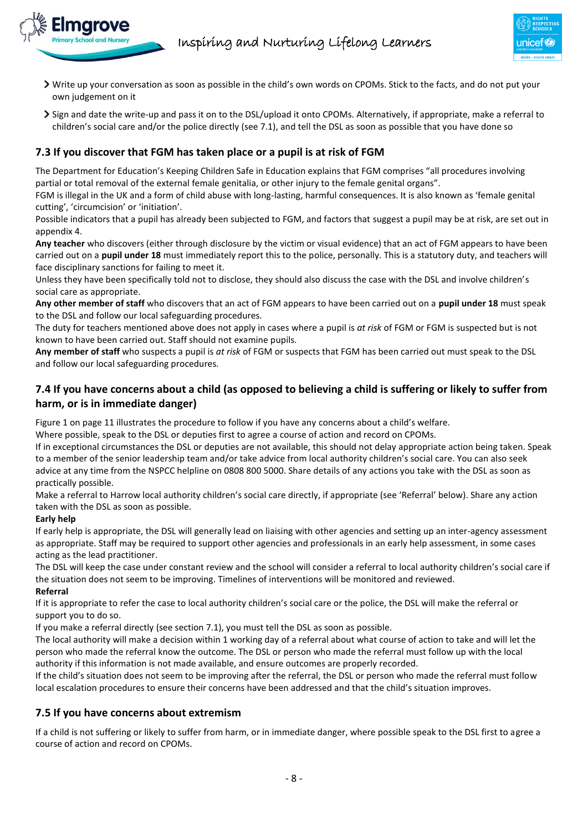- Write up your conversation as soon as possible in the child's own words on CPOMs. Stick to the facts, and do not put your own judgement on it
- Sign and date the write-up and pass it on to the DSL/upload it onto CPOMs. Alternatively, if appropriate, make a referral to children's social care and/or the police directly (see 7.1), and tell the DSL as soon as possible that you have done so

# **7.3 If you discover that FGM has taken place or a pupil is at risk of FGM**

The Department for Education's Keeping Children Safe in Education explains that FGM comprises "all procedures involving partial or total removal of the external female genitalia, or other injury to the female genital organs".

FGM is illegal in the UK and a form of child abuse with long-lasting, harmful consequences. It is also known as 'female genital cutting', 'circumcision' or 'initiation'.

Possible indicators that a pupil has already been subjected to FGM, and factors that suggest a pupil may be at risk, are set out in appendix 4.

**Any teacher** who discovers (either through disclosure by the victim or visual evidence) that an act of FGM appears to have been carried out on a **pupil under 18** must immediately report this to the police, personally. This is a statutory duty, and teachers will face disciplinary sanctions for failing to meet it.

Unless they have been specifically told not to disclose, they should also discuss the case with the DSL and involve children's social care as appropriate.

**Any other member of staff** who discovers that an act of FGM appears to have been carried out on a **pupil under 18** must speak to the DSL and follow our local safeguarding procedures.

The duty for teachers mentioned above does not apply in cases where a pupil is *at risk* of FGM or FGM is suspected but is not known to have been carried out. Staff should not examine pupils.

**Any member of staff** who suspects a pupil is *at risk* of FGM or suspects that FGM has been carried out must speak to the DSL and follow our local safeguarding procedures.

# **7.4 If you have concerns about a child (as opposed to believing a child is suffering or likely to suffer from harm, or is in immediate danger)**

Figure 1 on page 11 illustrates the procedure to follow if you have any concerns about a child's welfare.

Where possible, speak to the DSL or deputies first to agree a course of action and record on CPOMs.

If in exceptional circumstances the DSL or deputies are not available, this should not delay appropriate action being taken. Speak to a member of the senior leadership team and/or take advice from local authority children's social care. You can also seek advice at any time from the NSPCC helpline on 0808 800 5000. Share details of any actions you take with the DSL as soon as practically possible.

Make a referral to Harrow local authority children's social care directly, if appropriate (see 'Referral' below). Share any action taken with the DSL as soon as possible.

#### **Early help**

If early help is appropriate, the DSL will generally lead on liaising with other agencies and setting up an inter-agency assessment as appropriate. Staff may be required to support other agencies and professionals in an early help assessment, in some cases acting as the lead practitioner.

The DSL will keep the case under constant review and the school will consider a referral to local authority children's social care if the situation does not seem to be improving. Timelines of interventions will be monitored and reviewed. **Referral**

If it is appropriate to refer the case to local authority children's social care or the police, the DSL will make the referral or support you to do so.

If you make a referral directly (see section 7.1), you must tell the DSL as soon as possible.

The local authority will make a decision within 1 working day of a referral about what course of action to take and will let the person who made the referral know the outcome. The DSL or person who made the referral must follow up with the local authority if this information is not made available, and ensure outcomes are properly recorded.

If the child's situation does not seem to be improving after the referral, the DSL or person who made the referral must follow local escalation procedures to ensure their concerns have been addressed and that the child's situation improves.

# **7.5 If you have concerns about extremism**

If a child is not suffering or likely to suffer from harm, or in immediate danger, where possible speak to the DSL first to agree a course of action and record on CPOMs.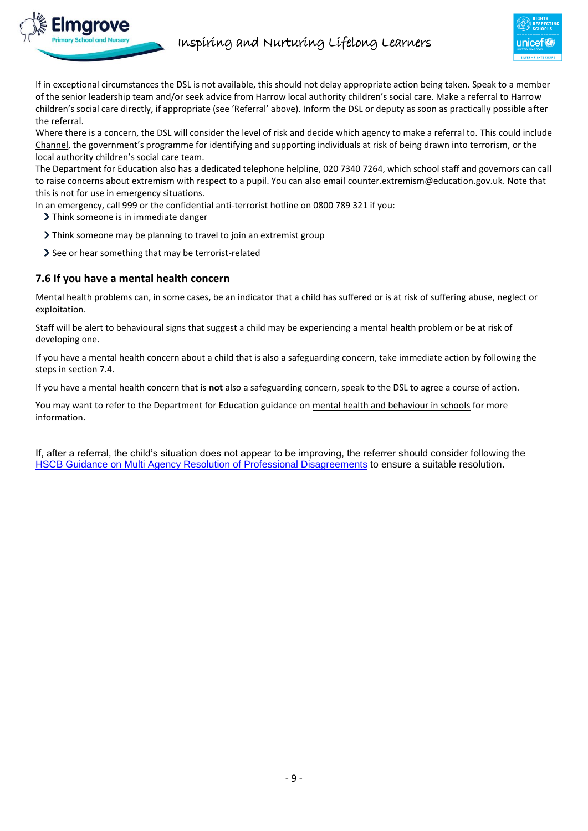

If in exceptional circumstances the DSL is not available, this should not delay appropriate action being taken. Speak to a member of the senior leadership team and/or seek advice from Harrow local authority children's social care. Make a referral to Harrow children's social care directly, if appropriate (see 'Referral' above). Inform the DSL or deputy as soon as practically possible after the referral.

Where there is a concern, the DSL will consider the level of risk and decide which agency to make a referral to. This could include [Channel](https://www.gov.uk/government/publications/channel-guidance), the government's programme for identifying and supporting individuals at risk of being drawn into terrorism, or the local authority children's social care team.

The Department for Education also has a dedicated telephone helpline, 020 7340 7264, which school staff and governors can call to raise concerns about extremism with respect to a pupil. You can also email [counter.extremism@education.gov.uk.](mailto:counter.extremism@education.gov.uk) Note that this is not for use in emergency situations.

In an emergency, call 999 or the confidential anti-terrorist hotline on 0800 789 321 if you:

> Think someone is in immediate danger

- If Think someone may be planning to travel to join an extremist group
- See or hear something that may be terrorist-related

#### **7.6 If you have a mental health concern**

Mental health problems can, in some cases, be an indicator that a child has suffered or is at risk of suffering abuse, neglect or exploitation.

Staff will be alert to behavioural signs that suggest a child may be experiencing a mental health problem or be at risk of developing one.

If you have a mental health concern about a child that is also a safeguarding concern, take immediate action by following the steps in section 7.4.

If you have a mental health concern that is **not** also a safeguarding concern, speak to the DSL to agree a course of action.

You may want to refer to the Department for Education guidance o[n mental health and behaviour in schools](https://www.gov.uk/government/publications/mental-health-and-behaviour-in-schools--2) for more information.

If, after a referral, the child's situation does not appear to be improving, the referrer should consider following the [HSCB Guidance on Multi Agency Resolution of Professional Disagreements](http://www.harrowlscb.co.uk/wp-content/uploads/2018/10/Challenge-Escalation-Multi-agency-resolution-of-professional-disagreements-October-2018.pdf) to ensure a suitable resolution.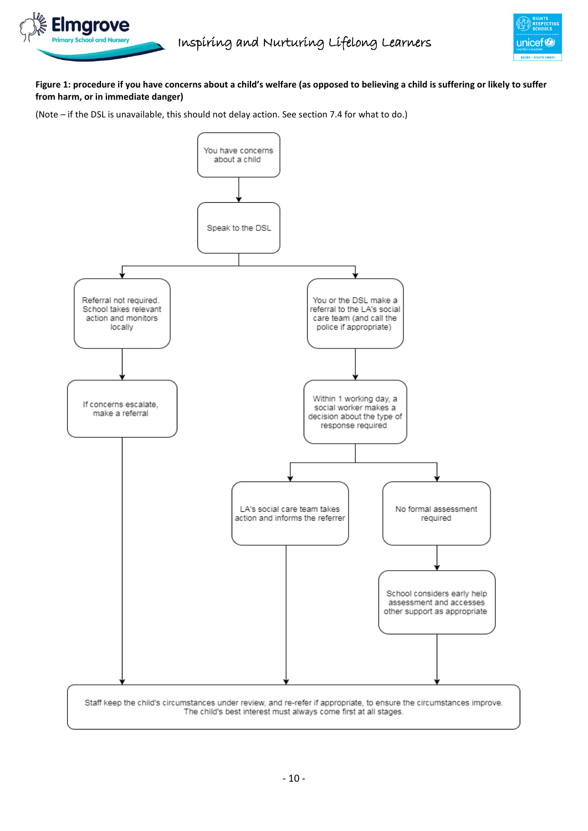

#### **Figure 1: procedure if you have concerns about a child's welfare (as opposed to believing a child is suffering or likely to suffer from harm, or in immediate danger)**

(Note – if the DSL is unavailable, this should not delay action. See section 7.4 for what to do.)

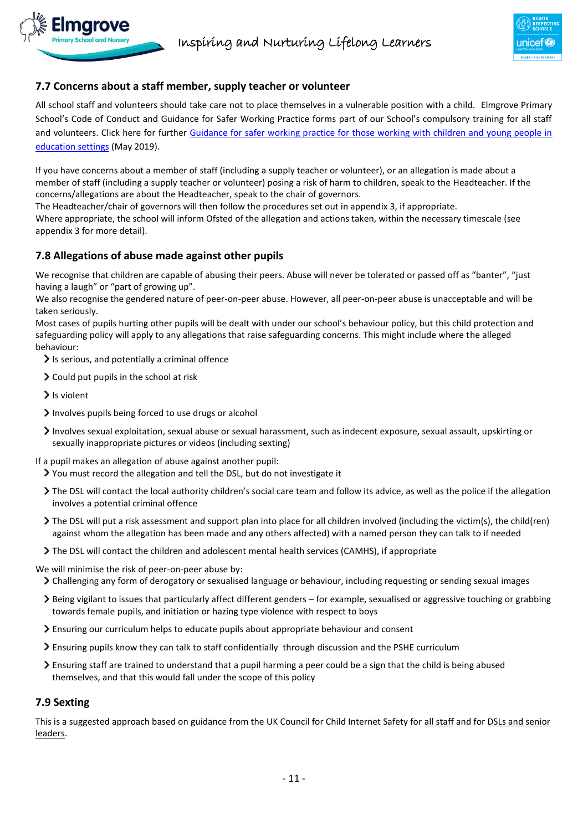# **7.7 Concerns about a staff member, supply teacher or volunteer**

All school staff and volunteers should take care not to place themselves in a vulnerable position with a child. Elmgrove Primary School's Code of Conduct and Guidance for Safer Working Practice forms part of our School's compulsory training for all staff and volunteers. Click here for further [Guidance for safer working practice for those working with children and young people in](https://www.saferrecruitmentconsortium.org/GSWP%20Sept%202019.pdf)  [education settings](https://www.saferrecruitmentconsortium.org/GSWP%20Sept%202019.pdf) (May 2019).

If you have concerns about a member of staff (including a supply teacher or volunteer), or an allegation is made about a member of staff (including a supply teacher or volunteer) posing a risk of harm to children, speak to the Headteacher. If the concerns/allegations are about the Headteacher, speak to the chair of governors.

The Headteacher/chair of governors will then follow the procedures set out in appendix 3, if appropriate.

Where appropriate, the school will inform Ofsted of the allegation and actions taken, within the necessary timescale (see appendix 3 for more detail).

# **7.8 Allegations of abuse made against other pupils**

We recognise that children are capable of abusing their peers. Abuse will never be tolerated or passed off as "banter", "just having a laugh" or "part of growing up".

We also recognise the gendered nature of peer-on-peer abuse. However, all peer-on-peer abuse is unacceptable and will be taken seriously.

Most cases of pupils hurting other pupils will be dealt with under our school's behaviour policy, but this child protection and safeguarding policy will apply to any allegations that raise safeguarding concerns. This might include where the alleged behaviour:

- $\geq$  Is serious, and potentially a criminal offence
- $\geq$  Could put pupils in the school at risk
- $\blacktriangleright$  Is violent
- $\sum$  Involves pupils being forced to use drugs or alcohol
- Involves sexual exploitation, sexual abuse or sexual harassment, such as indecent exposure, sexual assault, upskirting or sexually inappropriate pictures or videos (including sexting)
- If a pupil makes an allegation of abuse against another pupil:
	- You must record the allegation and tell the DSL, but do not investigate it
	- The DSL will contact the local authority children's social care team and follow its advice, as well as the police if the allegation involves a potential criminal offence
	- The DSL will put a risk assessment and support plan into place for all children involved (including the victim(s), the child(ren) against whom the allegation has been made and any others affected) with a named person they can talk to if needed
	- The DSL will contact the children and adolescent mental health services (CAMHS), if appropriate

We will minimise the risk of peer-on-peer abuse by:

Challenging any form of derogatory or sexualised language or behaviour, including requesting or sending sexual images

- Being vigilant to issues that particularly affect different genders for example, sexualised or aggressive touching or grabbing towards female pupils, and initiation or hazing type violence with respect to boys
- Ensuring our curriculum helps to educate pupils about appropriate behaviour and consent
- Ensuring pupils know they can talk to staff confidentially through discussion and the PSHE curriculum
- $\geq$  Ensuring staff are trained to understand that a pupil harming a peer could be a sign that the child is being abused themselves, and that this would fall under the scope of this policy

#### **7.9 Sexting**

This is a suggested approach based on guidance from the UK Council for Child Internet Safety for [all staff](https://assets.publishing.service.gov.uk/government/uploads/system/uploads/attachment_data/file/647389/Overview_of_Sexting_Guidance.pdf) and fo[r DSLs and senior](https://assets.publishing.service.gov.uk/government/uploads/system/uploads/attachment_data/file/609874/6_2939_SP_NCA_Sexting_In_Schools_FINAL_Update_Jan17.pdf)  [leaders.](https://assets.publishing.service.gov.uk/government/uploads/system/uploads/attachment_data/file/609874/6_2939_SP_NCA_Sexting_In_Schools_FINAL_Update_Jan17.pdf)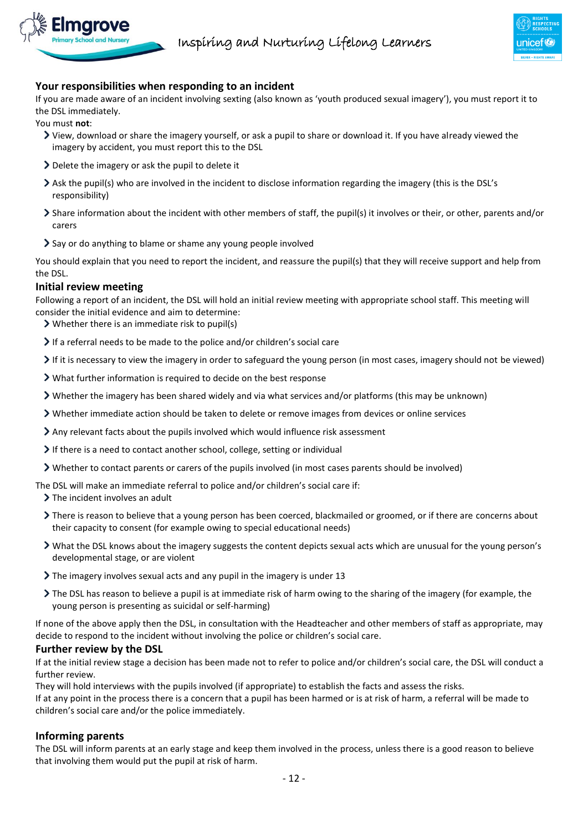

# **Your responsibilities when responding to an incident**

If you are made aware of an incident involving sexting (also known as 'youth produced sexual imagery'), you must report it to the DSL immediately.

You must **not**:

- View, download or share the imagery yourself, or ask a pupil to share or download it. If you have already viewed the imagery by accident, you must report this to the DSL
- $\geq$  Delete the imagery or ask the pupil to delete it
- Ask the pupil(s) who are involved in the incident to disclose information regarding the imagery (this is the DSL's responsibility)
- Share information about the incident with other members of staff, the pupil(s) it involves or their, or other, parents and/or carers
- Say or do anything to blame or shame any young people involved

You should explain that you need to report the incident, and reassure the pupil(s) that they will receive support and help from the DSL.

#### **Initial review meeting**

Following a report of an incident, the DSL will hold an initial review meeting with appropriate school staff. This meeting will consider the initial evidence and aim to determine:

- Whether there is an immediate risk to pupil(s)
- If a referral needs to be made to the police and/or children's social care
- $\triangleright$  If it is necessary to view the imagery in order to safeguard the young person (in most cases, imagery should not be viewed)
- What further information is required to decide on the best response
- $\triangleright$  Whether the imagery has been shared widely and via what services and/or platforms (this may be unknown)
- Whether immediate action should be taken to delete or remove images from devices or online services
- Any relevant facts about the pupils involved which would influence risk assessment
- If there is a need to contact another school, college, setting or individual
- Whether to contact parents or carers of the pupils involved (in most cases parents should be involved)
- The DSL will make an immediate referral to police and/or children's social care if:

> The incident involves an adult

- There is reason to believe that a young person has been coerced, blackmailed or groomed, or if there are concerns about their capacity to consent (for example owing to special educational needs)
- What the DSL knows about the imagery suggests the content depicts sexual acts which are unusual for the young person's developmental stage, or are violent
- The imagery involves sexual acts and any pupil in the imagery is under 13
- The DSL has reason to believe a pupil is at immediate risk of harm owing to the sharing of the imagery (for example, the young person is presenting as suicidal or self-harming)

If none of the above apply then the DSL, in consultation with the Headteacher and other members of staff as appropriate, may decide to respond to the incident without involving the police or children's social care.

#### **Further review by the DSL**

If at the initial review stage a decision has been made not to refer to police and/or children's social care, the DSL will conduct a further review.

They will hold interviews with the pupils involved (if appropriate) to establish the facts and assess the risks. If at any point in the process there is a concern that a pupil has been harmed or is at risk of harm, a referral will be made to children's social care and/or the police immediately.

# **Informing parents**

The DSL will inform parents at an early stage and keep them involved in the process, unless there is a good reason to believe that involving them would put the pupil at risk of harm.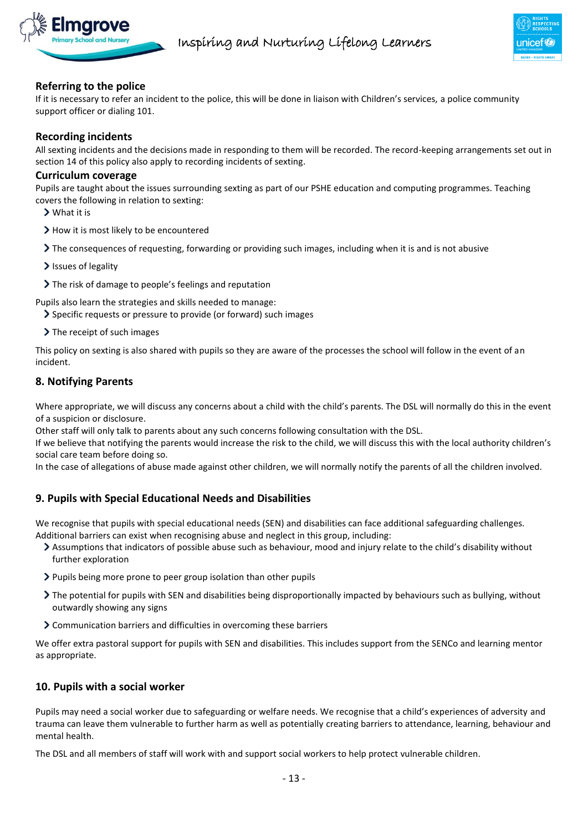

# **Referring to the police**

If it is necessary to refer an incident to the police, this will be done in liaison with Children's services, a police community support officer or dialing 101.

#### **Recording incidents**

All sexting incidents and the decisions made in responding to them will be recorded. The record-keeping arrangements set out in section 14 of this policy also apply to recording incidents of sexting.

#### **Curriculum coverage**

Pupils are taught about the issues surrounding sexting as part of our PSHE education and computing programmes. Teaching covers the following in relation to sexting:

- What it is
- > How it is most likely to be encountered
- The consequences of requesting, forwarding or providing such images, including when it is and is not abusive
- > Issues of legality
- The risk of damage to people's feelings and reputation

Pupils also learn the strategies and skills needed to manage:

- Specific requests or pressure to provide (or forward) such images
- $\triangleright$  The receipt of such images

This policy on sexting is also shared with pupils so they are aware of the processes the school will follow in the event of an incident.

#### <span id="page-12-0"></span>**8. Notifying Parents**

Where appropriate, we will discuss any concerns about a child with the child's parents. The DSL will normally do this in the event of a suspicion or disclosure.

Other staff will only talk to parents about any such concerns following consultation with the DSL.

If we believe that notifying the parents would increase the risk to the child, we will discuss this with the local authority children's social care team before doing so.

In the case of allegations of abuse made against other children, we will normally notify the parents of all the children involved.

# <span id="page-12-1"></span>**9. Pupils with Special Educational Needs and Disabilities**

We recognise that pupils with special educational needs (SEN) and disabilities can face additional safeguarding challenges. Additional barriers can exist when recognising abuse and neglect in this group, including:

- Assumptions that indicators of possible abuse such as behaviour, mood and injury relate to the child's disability without further exploration
- Pupils being more prone to peer group isolation than other pupils
- The potential for pupils with SEN and disabilities being disproportionally impacted by behaviours such as bullying, without outwardly showing any signs
- Communication barriers and difficulties in overcoming these barriers

We offer extra pastoral support for pupils with SEN and disabilities. This includes support from the SENCo and learning mentor as appropriate.

#### <span id="page-12-2"></span>**10. Pupils with a social worker**

Pupils may need a social worker due to safeguarding or welfare needs. We recognise that a child's experiences of adversity and trauma can leave them vulnerable to further harm as well as potentially creating barriers to attendance, learning, behaviour and mental health.

The DSL and all members of staff will work with and support social workers to help protect vulnerable children.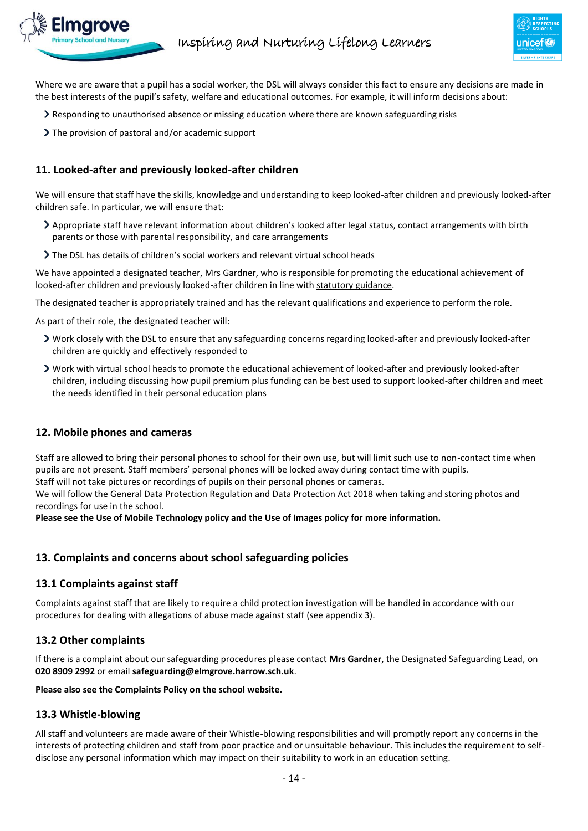

Where we are aware that a pupil has a social worker, the DSL will always consider this fact to ensure any decisions are made in the best interests of the pupil's safety, welfare and educational outcomes. For example, it will inform decisions about:

- $\geq$  Responding to unauthorised absence or missing education where there are known safeguarding risks
- ▶ The provision of pastoral and/or academic support

#### <span id="page-13-0"></span>**11. Looked-after and previously looked-after children**

We will ensure that staff have the skills, knowledge and understanding to keep looked-after children and previously looked-after children safe. In particular, we will ensure that:

- Appropriate staff have relevant information about children's looked after legal status, contact arrangements with birth parents or those with parental responsibility, and care arrangements
- The DSL has details of children's social workers and relevant virtual school heads

We have appointed a designated teacher, Mrs Gardner, who is responsible for promoting the educational achievement of looked-after children and previously looked-after children in line wit[h statutory guidance.](https://www.gov.uk/government/publications/designated-teacher-for-looked-after-children)

The designated teacher is appropriately trained and has the relevant qualifications and experience to perform the role.

As part of their role, the designated teacher will:

- Work closely with the DSL to ensure that any safeguarding concerns regarding looked-after and previously looked-after children are quickly and effectively responded to
- Work with virtual school heads to promote the educational achievement of looked-after and previously looked-after children, including discussing how pupil premium plus funding can be best used to support looked-after children and meet the needs identified in their personal education plans

#### <span id="page-13-1"></span>**12. Mobile phones and cameras**

Staff are allowed to bring their personal phones to school for their own use, but will limit such use to non-contact time when pupils are not present. Staff members' personal phones will be locked away during contact time with pupils.

Staff will not take pictures or recordings of pupils on their personal phones or cameras.

We will follow the General Data Protection Regulation and Data Protection Act 2018 when taking and storing photos and recordings for use in the school.

**Please see the Use of Mobile Technology policy and the Use of Images policy for more information.**

#### <span id="page-13-2"></span>**13. Complaints and concerns about school safeguarding policies**

#### **13.1 Complaints against staff**

Complaints against staff that are likely to require a child protection investigation will be handled in accordance with our procedures for dealing with allegations of abuse made against staff (see appendix 3).

#### **13.2 Other complaints**

If there is a complaint about our safeguarding procedures please contact **Mrs Gardner**, the Designated Safeguarding Lead, on **020 8909 2992** or email **[safeguarding@elmgrove.harrow.sch.uk](mailto:safeguarding@elmgrove.harrow.sch.uk)**.

#### **Please also see the Complaints Policy on the school website.**

#### **13.3 Whistle-blowing**

All staff and volunteers are made aware of their Whistle-blowing responsibilities and will promptly report any concerns in the interests of protecting children and staff from poor practice and or unsuitable behaviour. This includes the requirement to selfdisclose any personal information which may impact on their suitability to work in an education setting.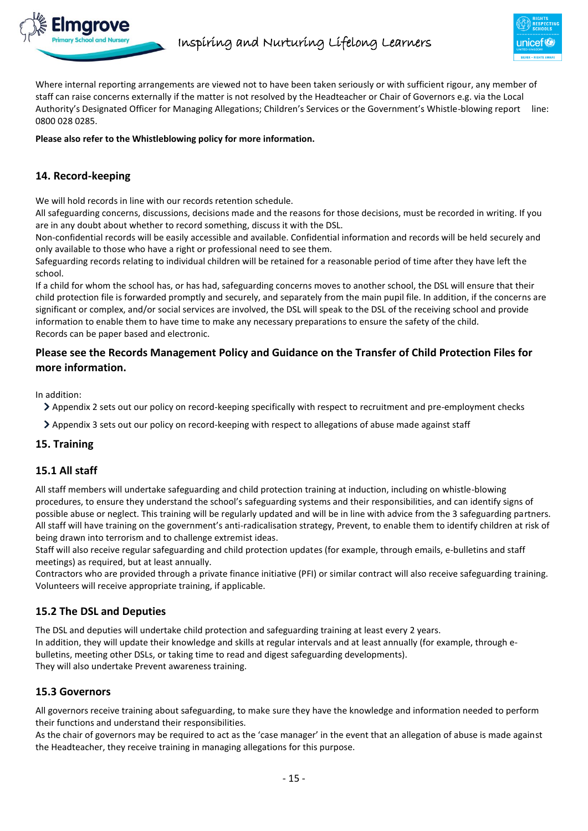

Where internal reporting arrangements are viewed not to have been taken seriously or with sufficient rigour, any member of staff can raise concerns externally if the matter is not resolved by the Headteacher or Chair of Governors e.g. via the Local Authority's Designated Officer for Managing Allegations; Children's Services or the Government's Whistle-blowing report line: 0800 028 0285.

#### **Please also refer to the Whistleblowing policy for more information.**

# <span id="page-14-0"></span>**14. Record-keeping**

We will hold records in line with our records retention schedule.

All safeguarding concerns, discussions, decisions made and the reasons for those decisions, must be recorded in writing. If you are in any doubt about whether to record something, discuss it with the DSL.

Non-confidential records will be easily accessible and available. Confidential information and records will be held securely and only available to those who have a right or professional need to see them.

Safeguarding records relating to individual children will be retained for a reasonable period of time after they have left the school.

If a child for whom the school has, or has had, safeguarding concerns moves to another school, the DSL will ensure that their child protection file is forwarded promptly and securely, and separately from the main pupil file. In addition, if the concerns are significant or complex, and/or social services are involved, the DSL will speak to the DSL of the receiving school and provide information to enable them to have time to make any necessary preparations to ensure the safety of the child. Records can be paper based and electronic.

# **Please see the Records Management Policy and Guidance on the Transfer of Child Protection Files for more information.**

In addition:

Appendix 2 sets out our policy on record-keeping specifically with respect to recruitment and pre-employment checks

<span id="page-14-1"></span>Appendix 3 sets out our policy on record-keeping with respect to allegations of abuse made against staff

# **15. Training**

# **15.1 All staff**

All staff members will undertake safeguarding and child protection training at induction, including on whistle-blowing procedures, to ensure they understand the school's safeguarding systems and their responsibilities, and can identify signs of possible abuse or neglect. This training will be regularly updated and will be in line with advice from the 3 safeguarding partners. All staff will have training on the government's anti-radicalisation strategy, Prevent, to enable them to identify children at risk of being drawn into terrorism and to challenge extremist ideas.

Staff will also receive regular safeguarding and child protection updates (for example, through emails, e-bulletins and staff meetings) as required, but at least annually.

Contractors who are provided through a private finance initiative (PFI) or similar contract will also receive safeguarding training. Volunteers will receive appropriate training, if applicable.

# **15.2 The DSL and Deputies**

The DSL and deputies will undertake child protection and safeguarding training at least every 2 years. In addition, they will update their knowledge and skills at regular intervals and at least annually (for example, through ebulletins, meeting other DSLs, or taking time to read and digest safeguarding developments). They will also undertake Prevent awareness training.

#### **15.3 Governors**

All governors receive training about safeguarding, to make sure they have the knowledge and information needed to perform their functions and understand their responsibilities.

As the chair of governors may be required to act as the 'case manager' in the event that an allegation of abuse is made against the Headteacher, they receive training in managing allegations for this purpose.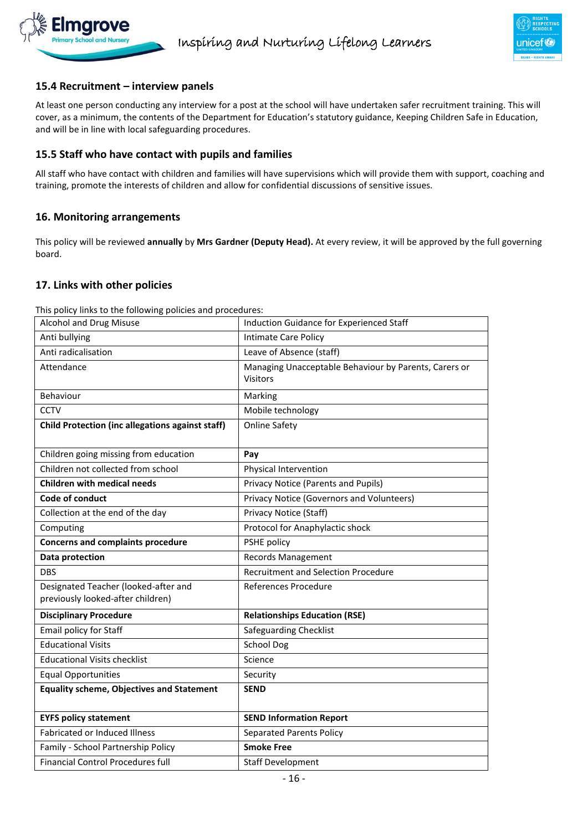



# **15.4 Recruitment – interview panels**

At least one person conducting any interview for a post at the school will have undertaken safer recruitment training. This will cover, as a minimum, the contents of the Department for Education's statutory guidance, Keeping Children Safe in Education, and will be in line with local safeguarding procedures.

# **15.5 Staff who have contact with pupils and families**

All staff who have contact with children and families will have supervisions which will provide them with support, coaching and training, promote the interests of children and allow for confidential discussions of sensitive issues.

#### <span id="page-15-0"></span>**16. Monitoring arrangements**

This policy will be reviewed **annually** by **Mrs Gardner (Deputy Head).** At every review, it will be approved by the full governing board.

#### <span id="page-15-1"></span>**17. Links with other policies**

This policy links to the following policies and procedures:

| Alcohol and Drug Misuse                                                   | Induction Guidance for Experienced Staff                                 |
|---------------------------------------------------------------------------|--------------------------------------------------------------------------|
| Anti bullying                                                             | <b>Intimate Care Policy</b>                                              |
| Anti radicalisation                                                       | Leave of Absence (staff)                                                 |
| Attendance                                                                | Managing Unacceptable Behaviour by Parents, Carers or<br><b>Visitors</b> |
| Behaviour                                                                 | Marking                                                                  |
| CCTV                                                                      | Mobile technology                                                        |
| <b>Child Protection (inc allegations against staff)</b>                   | <b>Online Safety</b>                                                     |
| Children going missing from education                                     | Pay                                                                      |
| Children not collected from school                                        | Physical Intervention                                                    |
| <b>Children with medical needs</b>                                        | Privacy Notice (Parents and Pupils)                                      |
| Code of conduct                                                           | Privacy Notice (Governors and Volunteers)                                |
| Collection at the end of the day                                          | Privacy Notice (Staff)                                                   |
| Computing                                                                 | Protocol for Anaphylactic shock                                          |
| <b>Concerns and complaints procedure</b>                                  | PSHE policy                                                              |
| Data protection                                                           | <b>Records Management</b>                                                |
| <b>DBS</b>                                                                | <b>Recruitment and Selection Procedure</b>                               |
| Designated Teacher (looked-after and<br>previously looked-after children) | References Procedure                                                     |
| <b>Disciplinary Procedure</b>                                             | <b>Relationships Education (RSE)</b>                                     |
| Email policy for Staff                                                    | Safeguarding Checklist                                                   |
| <b>Educational Visits</b>                                                 | <b>School Dog</b>                                                        |
| <b>Educational Visits checklist</b>                                       | Science                                                                  |
| <b>Equal Opportunities</b>                                                | Security                                                                 |
| <b>Equality scheme, Objectives and Statement</b>                          | <b>SEND</b>                                                              |
| <b>EYFS policy statement</b>                                              | <b>SEND Information Report</b>                                           |
| <b>Fabricated or Induced Illness</b>                                      | <b>Separated Parents Policy</b>                                          |
| Family - School Partnership Policy                                        | <b>Smoke Free</b>                                                        |
| <b>Financial Control Procedures full</b>                                  | <b>Staff Development</b>                                                 |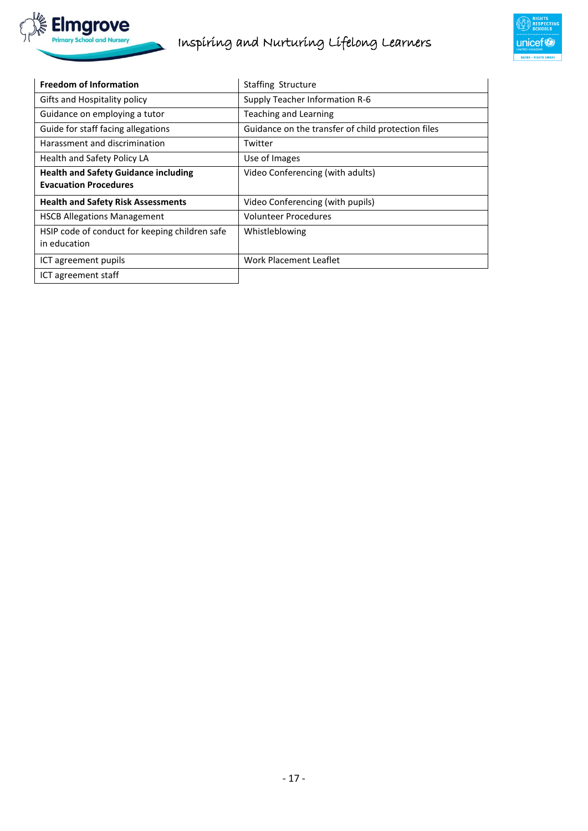



| <b>Freedom of Information</b>                  | <b>Staffing Structure</b>                          |
|------------------------------------------------|----------------------------------------------------|
| Gifts and Hospitality policy                   | Supply Teacher Information R-6                     |
| Guidance on employing a tutor                  | Teaching and Learning                              |
| Guide for staff facing allegations             | Guidance on the transfer of child protection files |
| Harassment and discrimination                  | Twitter                                            |
| Health and Safety Policy LA                    | Use of Images                                      |
| <b>Health and Safety Guidance including</b>    | Video Conferencing (with adults)                   |
| <b>Evacuation Procedures</b>                   |                                                    |
| <b>Health and Safety Risk Assessments</b>      | Video Conferencing (with pupils)                   |
| <b>HSCB Allegations Management</b>             | <b>Volunteer Procedures</b>                        |
| HSIP code of conduct for keeping children safe | Whistleblowing                                     |
| in education                                   |                                                    |
| ICT agreement pupils                           | Work Placement Leaflet                             |
| ICT agreement staff                            |                                                    |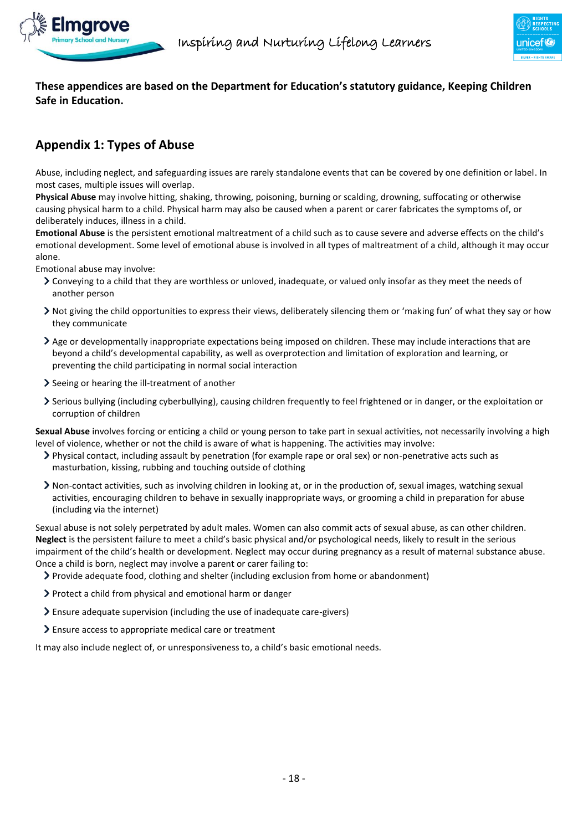

**These appendices are based on the Department for Education's statutory guidance, Keeping Children Safe in Education.**

# <span id="page-17-0"></span>**Appendix 1: Types of Abuse**

Abuse, including neglect, and safeguarding issues are rarely standalone events that can be covered by one definition or label. In most cases, multiple issues will overlap.

**Physical Abuse** may involve hitting, shaking, throwing, poisoning, burning or scalding, drowning, suffocating or otherwise causing physical harm to a child. Physical harm may also be caused when a parent or carer fabricates the symptoms of, or deliberately induces, illness in a child.

**Emotional Abuse** is the persistent emotional maltreatment of a child such as to cause severe and adverse effects on the child's emotional development. Some level of emotional abuse is involved in all types of maltreatment of a child, although it may occur alone.

Emotional abuse may involve:

- Conveying to a child that they are worthless or unloved, inadequate, or valued only insofar as they meet the needs of another person
- Not giving the child opportunities to express their views, deliberately silencing them or 'making fun' of what they say or how they communicate
- Age or developmentally inappropriate expectations being imposed on children. These may include interactions that are beyond a child's developmental capability, as well as overprotection and limitation of exploration and learning, or preventing the child participating in normal social interaction
- Seeing or hearing the ill-treatment of another
- Serious bullying (including cyberbullying), causing children frequently to feel frightened or in danger, or the exploitation or corruption of children

**Sexual Abuse** involves forcing or enticing a child or young person to take part in sexual activities, not necessarily involving a high level of violence, whether or not the child is aware of what is happening. The activities may involve:

- Physical contact, including assault by penetration (for example rape or oral sex) or non-penetrative acts such as masturbation, kissing, rubbing and touching outside of clothing
- Non-contact activities, such as involving children in looking at, or in the production of, sexual images, watching sexual activities, encouraging children to behave in sexually inappropriate ways, or grooming a child in preparation for abuse (including via the internet)

Sexual abuse is not solely perpetrated by adult males. Women can also commit acts of sexual abuse, as can other children. **Neglect** is the persistent failure to meet a child's basic physical and/or psychological needs, likely to result in the serious impairment of the child's health or development. Neglect may occur during pregnancy as a result of maternal substance abuse. Once a child is born, neglect may involve a parent or carer failing to:

- Provide adequate food, clothing and shelter (including exclusion from home or abandonment)
- Protect a child from physical and emotional harm or danger
- Ensure adequate supervision (including the use of inadequate care-givers)
- Ensure access to appropriate medical care or treatment

It may also include neglect of, or unresponsiveness to, a child's basic emotional needs.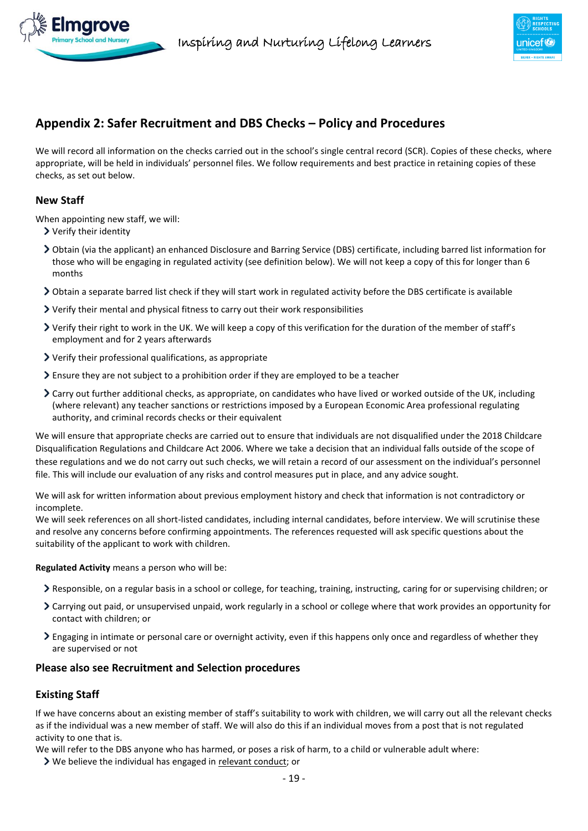



# <span id="page-18-0"></span>**Appendix 2: Safer Recruitment and DBS Checks – Policy and Procedures**

We will record all information on the checks carried out in the school's single central record (SCR). Copies of these checks, where appropriate, will be held in individuals' personnel files. We follow requirements and best practice in retaining copies of these checks, as set out below.

#### **New Staff**

When appointing new staff, we will:

- Verify their identity
- Obtain (via the applicant) an enhanced Disclosure and Barring Service (DBS) certificate, including barred list information for those who will be engaging in regulated activity (see definition below). We will not keep a copy of this for longer than 6 months
- $\geq$  Obtain a separate barred list check if they will start work in regulated activity before the DBS certificate is available
- Verify their mental and physical fitness to carry out their work responsibilities
- Verify their right to work in the UK. We will keep a copy of this verification for the duration of the member of staff's employment and for 2 years afterwards
- Verify their professional qualifications, as appropriate
- $\geq$  Ensure they are not subject to a prohibition order if they are employed to be a teacher
- Carry out further additional checks, as appropriate, on candidates who have lived or worked outside of the UK, including (where relevant) any teacher sanctions or restrictions imposed by a European Economic Area professional regulating authority, and criminal records checks or their equivalent

We will ensure that appropriate checks are carried out to ensure that individuals are not disqualified under the 2018 Childcare Disqualification Regulations and Childcare Act 2006. Where we take a decision that an individual falls outside of the scope of these regulations and we do not carry out such checks, we will retain a record of our assessment on the individual's personnel file. This will include our evaluation of any risks and control measures put in place, and any advice sought.

We will ask for written information about previous employment history and check that information is not contradictory or incomplete

We will seek references on all short-listed candidates, including internal candidates, before interview. We will scrutinise these and resolve any concerns before confirming appointments. The references requested will ask specific questions about the suitability of the applicant to work with children.

**Regulated Activity** means a person who will be:

- Responsible, on a regular basis in a school or college, for teaching, training, instructing, caring for or supervising children; or
- Carrying out paid, or unsupervised unpaid, work regularly in a school or college where that work provides an opportunity for contact with children; or
- $\geq$  Engaging in intimate or personal care or overnight activity, even if this happens only once and regardless of whether they are supervised or not

# **Please also see Recruitment and Selection procedures**

# **Existing Staff**

If we have concerns about an existing member of staff's suitability to work with children, we will carry out all the relevant checks as if the individual was a new member of staff. We will also do this if an individual moves from a post that is not regulated activity to one that is.

We will refer to the DBS anyone who has harmed, or poses a risk of harm, to a child or vulnerable adult where:

We believe the individual has engaged in [relevant conduct;](https://www.gov.uk/guidance/making-barring-referrals-to-the-dbs#relevant-conduct-in-relation-to-children) or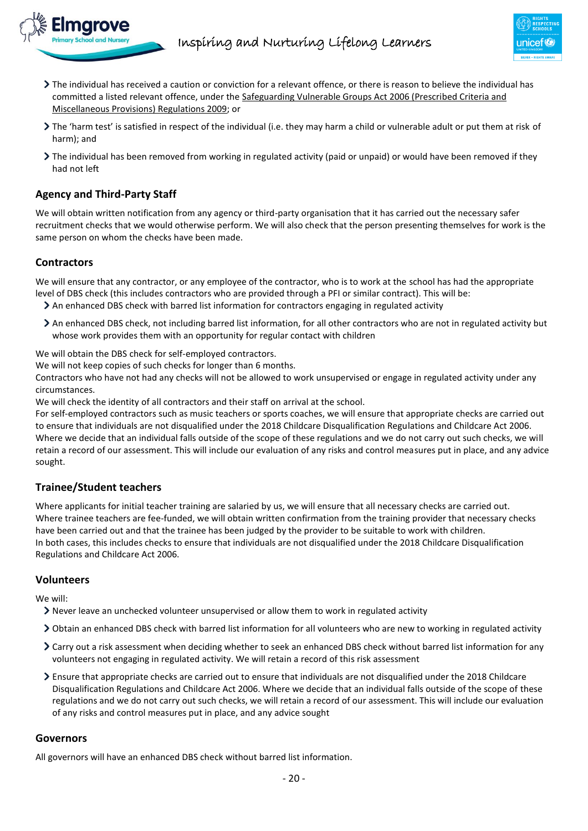

- The individual has received a caution or conviction for a relevant offence, or there is reason to believe the individual has committed a listed relevant offence, under the [Safeguarding Vulnerable Groups Act 2006 \(Prescribed Criteria and](http://www.legislation.gov.uk/uksi/2009/37/contents/made)  [Miscellaneous Provisions\) Regulations 2009;](http://www.legislation.gov.uk/uksi/2009/37/contents/made) or
- The 'harm test' is satisfied in respect of the individual (i.e. they may harm a child or vulnerable adult or put them at risk of harm); and
- The individual has been removed from working in regulated activity (paid or unpaid) or would have been removed if they had not left

# **Agency and Third-Party Staff**

We will obtain written notification from any agency or third-party organisation that it has carried out the necessary safer recruitment checks that we would otherwise perform. We will also check that the person presenting themselves for work is the same person on whom the checks have been made.

# **Contractors**

We will ensure that any contractor, or any employee of the contractor, who is to work at the school has had the appropriate level of DBS check (this includes contractors who are provided through a PFI or similar contract). This will be:

- An enhanced DBS check with barred list information for contractors engaging in regulated activity
- An enhanced DBS check, not including barred list information, for all other contractors who are not in regulated activity but whose work provides them with an opportunity for regular contact with children

We will obtain the DBS check for self-employed contractors.

We will not keep copies of such checks for longer than 6 months.

Contractors who have not had any checks will not be allowed to work unsupervised or engage in regulated activity under any circumstances.

We will check the identity of all contractors and their staff on arrival at the school.

For self-employed contractors such as music teachers or sports coaches, we will ensure that appropriate checks are carried out to ensure that individuals are not disqualified under the 2018 Childcare Disqualification Regulations and Childcare Act 2006. Where we decide that an individual falls outside of the scope of these regulations and we do not carry out such checks, we will retain a record of our assessment. This will include our evaluation of any risks and control measures put in place, and any advice sought.

# **Trainee/Student teachers**

Where applicants for initial teacher training are salaried by us, we will ensure that all necessary checks are carried out. Where trainee teachers are fee-funded, we will obtain written confirmation from the training provider that necessary checks have been carried out and that the trainee has been judged by the provider to be suitable to work with children. In both cases, this includes checks to ensure that individuals are not disqualified under the 2018 Childcare Disqualification Regulations and Childcare Act 2006.

# **Volunteers**

We will:

- Never leave an unchecked volunteer unsupervised or allow them to work in regulated activity
- Obtain an enhanced DBS check with barred list information for all volunteers who are new to working in regulated activity
- Carry out a risk assessment when deciding whether to seek an enhanced DBS check without barred list information for any volunteers not engaging in regulated activity. We will retain a record of this risk assessment
- Ensure that appropriate checks are carried out to ensure that individuals are not disqualified under the 2018 Childcare Disqualification Regulations and Childcare Act 2006. Where we decide that an individual falls outside of the scope of these regulations and we do not carry out such checks, we will retain a record of our assessment. This will include our evaluation of any risks and control measures put in place, and any advice sought

#### **Governors**

All governors will have an enhanced DBS check without barred list information.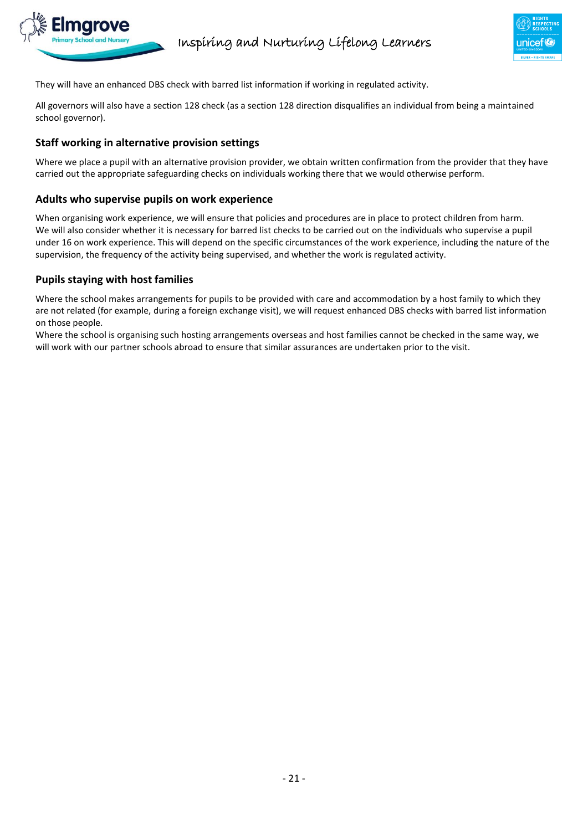

They will have an enhanced DBS check with barred list information if working in regulated activity.

All governors will also have a section 128 check (as a section 128 direction disqualifies an individual from being a maintained school governor).

#### **Staff working in alternative provision settings**

Where we place a pupil with an alternative provision provider, we obtain written confirmation from the provider that they have carried out the appropriate safeguarding checks on individuals working there that we would otherwise perform.

#### **Adults who supervise pupils on work experience**

When organising work experience, we will ensure that policies and procedures are in place to protect children from harm. We will also consider whether it is necessary for barred list checks to be carried out on the individuals who supervise a pupil under 16 on work experience. This will depend on the specific circumstances of the work experience, including the nature of the supervision, the frequency of the activity being supervised, and whether the work is regulated activity.

# **Pupils staying with host families**

Where the school makes arrangements for pupils to be provided with care and accommodation by a host family to which they are not related (for example, during a foreign exchange visit), we will request enhanced DBS checks with barred list information on those people.

Where the school is organising such hosting arrangements overseas and host families cannot be checked in the same way, we will work with our partner schools abroad to ensure that similar assurances are undertaken prior to the visit.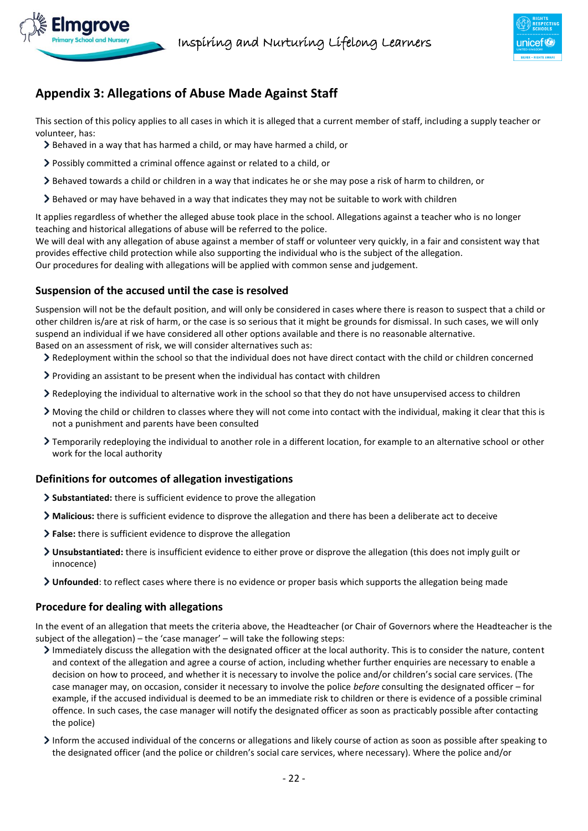

# <span id="page-21-0"></span>**Appendix 3: Allegations of Abuse Made Against Staff**

This section of this policy applies to all cases in which it is alleged that a current member of staff, including a supply teacher or volunteer, has:

- Behaved in a way that has harmed a child, or may have harmed a child, or
- Possibly committed a criminal offence against or related to a child, or
- Behaved towards a child or children in a way that indicates he or she may pose a risk of harm to children, or
- $\geq$  Behaved or may have behaved in a way that indicates they may not be suitable to work with children

It applies regardless of whether the alleged abuse took place in the school. Allegations against a teacher who is no longer teaching and historical allegations of abuse will be referred to the police.

We will deal with any allegation of abuse against a member of staff or volunteer very quickly, in a fair and consistent way that provides effective child protection while also supporting the individual who is the subject of the allegation. Our procedures for dealing with allegations will be applied with common sense and judgement.

# **Suspension of the accused until the case is resolved**

Suspension will not be the default position, and will only be considered in cases where there is reason to suspect that a child or other children is/are at risk of harm, or the case is so serious that it might be grounds for dismissal. In such cases, we will only suspend an individual if we have considered all other options available and there is no reasonable alternative. Based on an assessment of risk, we will consider alternatives such as:

Redeployment within the school so that the individual does not have direct contact with the child or children concerned

- $\geq$  Providing an assistant to be present when the individual has contact with children
- Redeploying the individual to alternative work in the school so that they do not have unsupervised access to children
- Moving the child or children to classes where they will not come into contact with the individual, making it clear that this is not a punishment and parents have been consulted
- Temporarily redeploying the individual to another role in a different location, for example to an alternative school or other work for the local authority

# **Definitions for outcomes of allegation investigations**

- **Substantiated:** there is sufficient evidence to prove the allegation
- **Malicious:** there is sufficient evidence to disprove the allegation and there has been a deliberate act to deceive
- **False:** there is sufficient evidence to disprove the allegation
- **Unsubstantiated:** there is insufficient evidence to either prove or disprove the allegation (this does not imply guilt or innocence)
- **Unfounded**: to reflect cases where there is no evidence or proper basis which supports the allegation being made

# **Procedure for dealing with allegations**

In the event of an allegation that meets the criteria above, the Headteacher (or Chair of Governors where the Headteacher is the subject of the allegation) – the 'case manager' – will take the following steps:

- Immediately discuss the allegation with the designated officer at the local authority. This is to consider the nature, content and context of the allegation and agree a course of action, including whether further enquiries are necessary to enable a decision on how to proceed, and whether it is necessary to involve the police and/or children's social care services. (The case manager may, on occasion, consider it necessary to involve the police *before* consulting the designated officer – for example, if the accused individual is deemed to be an immediate risk to children or there is evidence of a possible criminal offence. In such cases, the case manager will notify the designated officer as soon as practicably possible after contacting the police)
- Inform the accused individual of the concerns or allegations and likely course of action as soon as possible after speaking to the designated officer (and the police or children's social care services, where necessary). Where the police and/or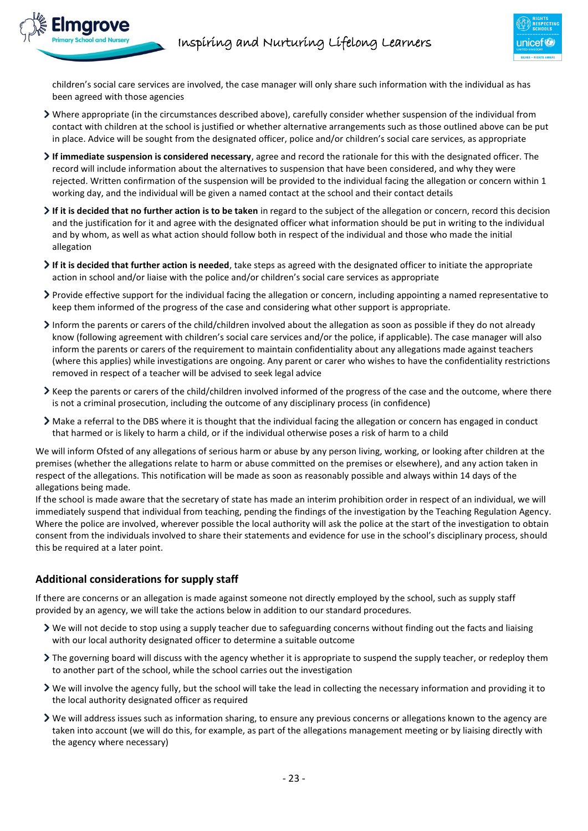children's social care services are involved, the case manager will only share such information with the individual as has been agreed with those agencies

- Where appropriate (in the circumstances described above), carefully consider whether suspension of the individual from contact with children at the school is justified or whether alternative arrangements such as those outlined above can be put in place. Advice will be sought from the designated officer, police and/or children's social care services, as appropriate
- **If immediate suspension is considered necessary**, agree and record the rationale for this with the designated officer. The record will include information about the alternatives to suspension that have been considered, and why they were rejected. Written confirmation of the suspension will be provided to the individual facing the allegation or concern within 1 working day, and the individual will be given a named contact at the school and their contact details
- **If it is decided that no further action is to be taken** in regard to the subject of the allegation or concern, record this decision and the justification for it and agree with the designated officer what information should be put in writing to the individual and by whom, as well as what action should follow both in respect of the individual and those who made the initial allegation
- **If it is decided that further action is needed**, take steps as agreed with the designated officer to initiate the appropriate action in school and/or liaise with the police and/or children's social care services as appropriate
- Provide effective support for the individual facing the allegation or concern, including appointing a named representative to keep them informed of the progress of the case and considering what other support is appropriate.
- Inform the parents or carers of the child/children involved about the allegation as soon as possible if they do not already know (following agreement with children's social care services and/or the police, if applicable). The case manager will also inform the parents or carers of the requirement to maintain confidentiality about any allegations made against teachers (where this applies) while investigations are ongoing. Any parent or carer who wishes to have the confidentiality restrictions removed in respect of a teacher will be advised to seek legal advice
- Keep the parents or carers of the child/children involved informed of the progress of the case and the outcome, where there is not a criminal prosecution, including the outcome of any disciplinary process (in confidence)
- Make a referral to the DBS where it is thought that the individual facing the allegation or concern has engaged in conduct that harmed or is likely to harm a child, or if the individual otherwise poses a risk of harm to a child

We will inform Ofsted of any allegations of serious harm or abuse by any person living, working, or looking after children at the premises (whether the allegations relate to harm or abuse committed on the premises or elsewhere), and any action taken in respect of the allegations. This notification will be made as soon as reasonably possible and always within 14 days of the allegations being made.

If the school is made aware that the secretary of state has made an interim prohibition order in respect of an individual, we will immediately suspend that individual from teaching, pending the findings of the investigation by the Teaching Regulation Agency. Where the police are involved, wherever possible the local authority will ask the police at the start of the investigation to obtain consent from the individuals involved to share their statements and evidence for use in the school's disciplinary process, should this be required at a later point.

# **Additional considerations for supply staff**

If there are concerns or an allegation is made against someone not directly employed by the school, such as supply staff provided by an agency, we will take the actions below in addition to our standard procedures.

- We will not decide to stop using a supply teacher due to safeguarding concerns without finding out the facts and liaising with our local authority designated officer to determine a suitable outcome
- The governing board will discuss with the agency whether it is appropriate to suspend the supply teacher, or redeploy them to another part of the school, while the school carries out the investigation
- We will involve the agency fully, but the school will take the lead in collecting the necessary information and providing it to the local authority designated officer as required
- We will address issues such as information sharing, to ensure any previous concerns or allegations known to the agency are taken into account (we will do this, for example, as part of the allegations management meeting or by liaising directly with the agency where necessary)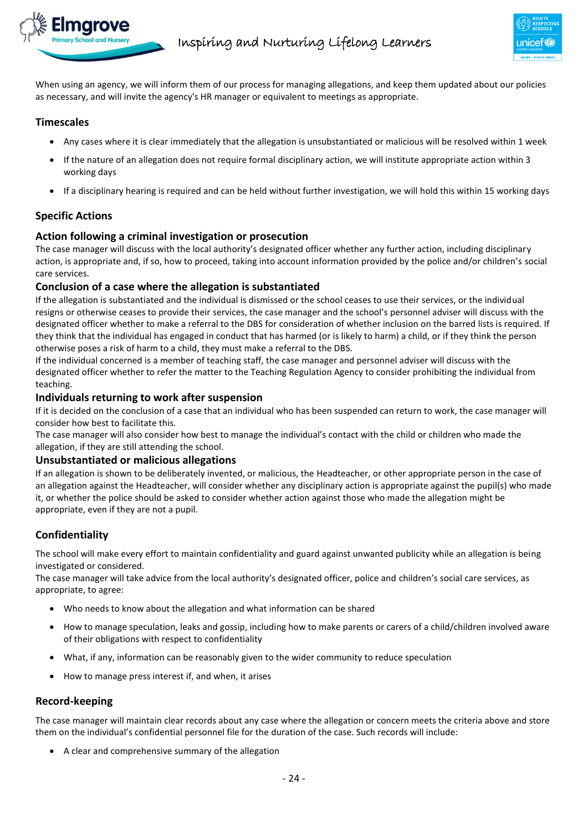

When using an agency, we will inform them of our process for managing allegations, and keep them updated about our policies as necessary, and will invite the agency's HR manager or equivalent to meetings as appropriate.

#### **Timescales**

- Any cases where it is clear immediately that the allegation is unsubstantiated or malicious will be resolved within 1 week
- If the nature of an allegation does not require formal disciplinary action, we will institute appropriate action within 3 working days
- If a disciplinary hearing is required and can be held without further investigation, we will hold this within 15 working days

# **Specific Actions**

#### **Action following a criminal investigation or prosecution**

The case manager will discuss with the local authority's designated officer whether any further action, including disciplinary action, is appropriate and, if so, how to proceed, taking into account information provided by the police and/or children's social care services.

#### **Conclusion of a case where the allegation is substantiated**

If the allegation is substantiated and the individual is dismissed or the school ceases to use their services, or the individual resigns or otherwise ceases to provide their services, the case manager and the school's personnel adviser will discuss with the designated officer whether to make a referral to the DBS for consideration of whether inclusion on the barred lists is required. If they think that the individual has engaged in conduct that has harmed (or is likely to harm) a child, or if they think the person otherwise poses a risk of harm to a child, they must make a referral to the DBS.

If the individual concerned is a member of teaching staff, the case manager and personnel adviser will discuss with the designated officer whether to refer the matter to the Teaching Regulation Agency to consider prohibiting the individual from teaching.

#### **Individuals returning to work after suspension**

If it is decided on the conclusion of a case that an individual who has been suspended can return to work, the case manager will consider how best to facilitate this.

The case manager will also consider how best to manage the individual's contact with the child or children who made the allegation, if they are still attending the school.

#### **Unsubstantiated or malicious allegations**

If an allegation is shown to be deliberately invented, or malicious, the Headteacher, or other appropriate person in the case of an allegation against the Headteacher, will consider whether any disciplinary action is appropriate against the pupil(s) who made it, or whether the police should be asked to consider whether action against those who made the allegation might be appropriate, even if they are not a pupil.

# **Confidentiality**

The school will make every effort to maintain confidentiality and guard against unwanted publicity while an allegation is being investigated or considered.

The case manager will take advice from the local authority's designated officer, police and children's social care services, as appropriate, to agree:

- Who needs to know about the allegation and what information can be shared
- How to manage speculation, leaks and gossip, including how to make parents or carers of a child/children involved aware of their obligations with respect to confidentiality
- What, if any, information can be reasonably given to the wider community to reduce speculation
- How to manage press interest if, and when, it arises

# **Record-keeping**

The case manager will maintain clear records about any case where the allegation or concern meets the criteria above and store them on the individual's confidential personnel file for the duration of the case. Such records will include:

A clear and comprehensive summary of the allegation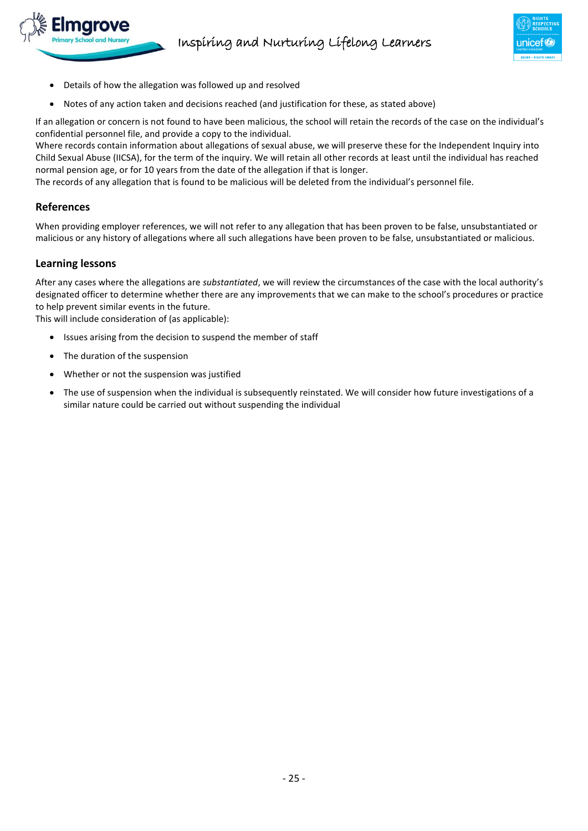

- Details of how the allegation was followed up and resolved
- Notes of any action taken and decisions reached (and justification for these, as stated above)

If an allegation or concern is not found to have been malicious, the school will retain the records of the case on the individual's confidential personnel file, and provide a copy to the individual.

Where records contain information about allegations of sexual abuse, we will preserve these for the Independent Inquiry into Child Sexual Abuse (IICSA), for the term of the inquiry. We will retain all other records at least until the individual has reached normal pension age, or for 10 years from the date of the allegation if that is longer.

The records of any allegation that is found to be malicious will be deleted from the individual's personnel file.

#### **References**

When providing employer references, we will not refer to any allegation that has been proven to be false, unsubstantiated or malicious or any history of allegations where all such allegations have been proven to be false, unsubstantiated or malicious.

#### **Learning lessons**

After any cases where the allegations are *substantiated*, we will review the circumstances of the case with the local authority's designated officer to determine whether there are any improvements that we can make to the school's procedures or practice to help prevent similar events in the future.

This will include consideration of (as applicable):

- Issues arising from the decision to suspend the member of staff
- The duration of the suspension
- Whether or not the suspension was justified
- The use of suspension when the individual is subsequently reinstated. We will consider how future investigations of a similar nature could be carried out without suspending the individual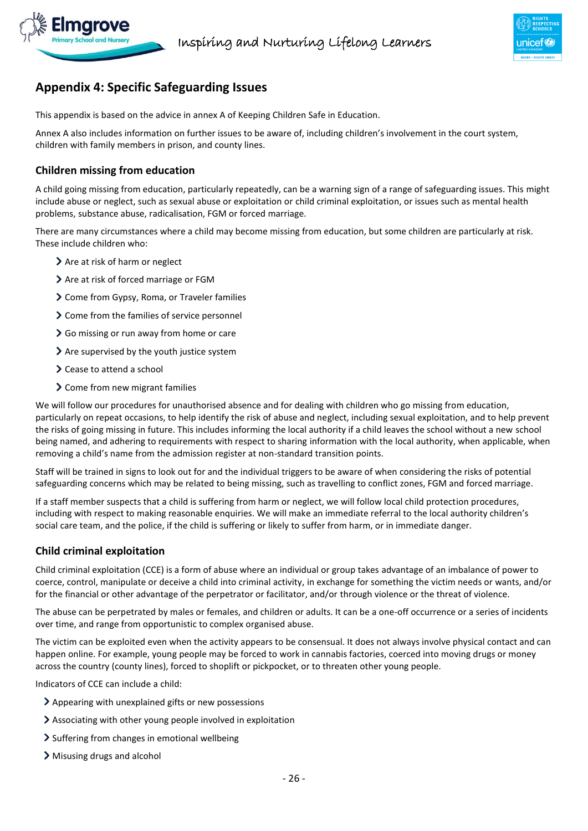

# <span id="page-25-0"></span>**Appendix 4: Specific Safeguarding Issues**

This appendix is based on the advice in annex A of Keeping Children Safe in Education.

Annex A also includes information on further issues to be aware of, including children's involvement in the court system, children with family members in prison, and county lines.

# **Children missing from education**

A child going missing from education, particularly repeatedly, can be a warning sign of a range of safeguarding issues. This might include abuse or neglect, such as sexual abuse or exploitation or child criminal exploitation, or issues such as mental health problems, substance abuse, radicalisation, FGM or forced marriage.

There are many circumstances where a child may become missing from education, but some children are particularly at risk. These include children who:

- > Are at risk of harm or neglect
- > Are at risk of forced marriage or FGM
- Come from Gypsy, Roma, or Traveler families
- > Come from the families of service personnel
- So missing or run away from home or care
- $\geq$  Are supervised by the youth justice system
- **>** Cease to attend a school
- > Come from new migrant families

We will follow our procedures for unauthorised absence and for dealing with children who go missing from education, particularly on repeat occasions, to help identify the risk of abuse and neglect, including sexual exploitation, and to help prevent the risks of going missing in future. This includes informing the local authority if a child leaves the school without a new school being named, and adhering to requirements with respect to sharing information with the local authority, when applicable, when removing a child's name from the admission register at non-standard transition points.

Staff will be trained in signs to look out for and the individual triggers to be aware of when considering the risks of potential safeguarding concerns which may be related to being missing, such as travelling to conflict zones, FGM and forced marriage.

If a staff member suspects that a child is suffering from harm or neglect, we will follow local child protection procedures, including with respect to making reasonable enquiries. We will make an immediate referral to the local authority children's social care team, and the police, if the child is suffering or likely to suffer from harm, or in immediate danger.

# **Child criminal exploitation**

Child criminal exploitation (CCE) is a form of abuse where an individual or group takes advantage of an imbalance of power to coerce, control, manipulate or deceive a child into criminal activity, in exchange for something the victim needs or wants, and/or for the financial or other advantage of the perpetrator or facilitator, and/or through violence or the threat of violence.

The abuse can be perpetrated by males or females, and children or adults. It can be a one-off occurrence or a series of incidents over time, and range from opportunistic to complex organised abuse.

The victim can be exploited even when the activity appears to be consensual. It does not always involve physical contact and can happen online. For example, young people may be forced to work in cannabis factories, coerced into moving drugs or money across the country (county lines), forced to shoplift or pickpocket, or to threaten other young people.

Indicators of CCE can include a child:

- Appearing with unexplained gifts or new possessions
- Associating with other young people involved in exploitation
- $\triangleright$  Suffering from changes in emotional wellbeing
- Misusing drugs and alcohol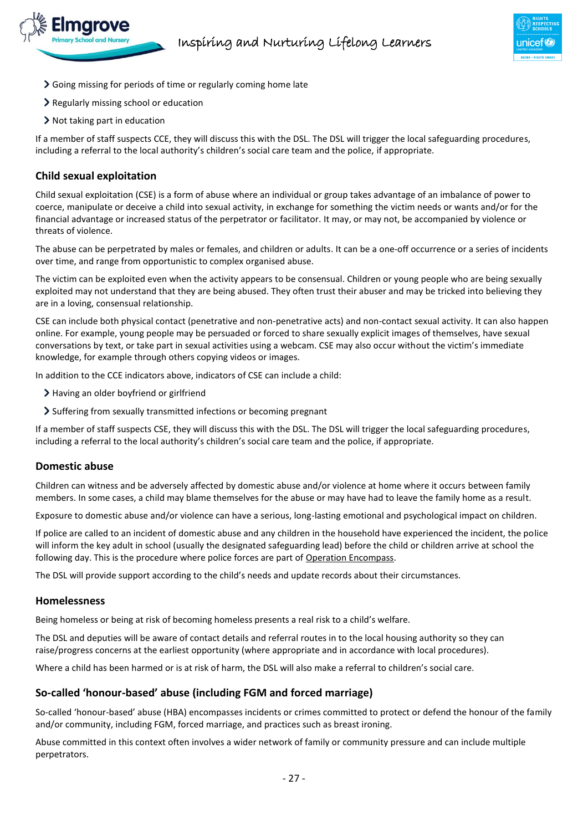

- Going missing for periods of time or regularly coming home late
- Regularly missing school or education
- $\triangleright$  Not taking part in education

If a member of staff suspects CCE, they will discuss this with the DSL. The DSL will trigger the local safeguarding procedures, including a referral to the local authority's children's social care team and the police, if appropriate.

#### **Child sexual exploitation**

Child sexual exploitation (CSE) is a form of abuse where an individual or group takes advantage of an imbalance of power to coerce, manipulate or deceive a child into sexual activity, in exchange for something the victim needs or wants and/or for the financial advantage or increased status of the perpetrator or facilitator. It may, or may not, be accompanied by violence or threats of violence.

The abuse can be perpetrated by males or females, and children or adults. It can be a one-off occurrence or a series of incidents over time, and range from opportunistic to complex organised abuse.

The victim can be exploited even when the activity appears to be consensual. Children or young people who are being sexually exploited may not understand that they are being abused. They often trust their abuser and may be tricked into believing they are in a loving, consensual relationship.

CSE can include both physical contact (penetrative and non-penetrative acts) and non-contact sexual activity. It can also happen online. For example, young people may be persuaded or forced to share sexually explicit images of themselves, have sexual conversations by text, or take part in sexual activities using a webcam. CSE may also occur without the victim's immediate knowledge, for example through others copying videos or images.

In addition to the CCE indicators above, indicators of CSE can include a child:

- > Having an older boyfriend or girlfriend
- Suffering from sexually transmitted infections or becoming pregnant

If a member of staff suspects CSE, they will discuss this with the DSL. The DSL will trigger the local safeguarding procedures, including a referral to the local authority's children's social care team and the police, if appropriate.

#### **Domestic abuse**

Children can witness and be adversely affected by domestic abuse and/or violence at home where it occurs between family members. In some cases, a child may blame themselves for the abuse or may have had to leave the family home as a result.

Exposure to domestic abuse and/or violence can have a serious, long-lasting emotional and psychological impact on children.

If police are called to an incident of domestic abuse and any children in the household have experienced the incident, the police will inform the key adult in school (usually the designated safeguarding lead) before the child or children arrive at school the following day. This is the procedure where police forces are part o[f Operation Encompass.](https://www.operationencompass.org/)

The DSL will provide support according to the child's needs and update records about their circumstances.

#### **Homelessness**

Being homeless or being at risk of becoming homeless presents a real risk to a child's welfare.

The DSL and deputies will be aware of contact details and referral routes in to the local housing authority so they can raise/progress concerns at the earliest opportunity (where appropriate and in accordance with local procedures).

Where a child has been harmed or is at risk of harm, the DSL will also make a referral to children's social care.

#### **So-called 'honour-based' abuse (including FGM and forced marriage)**

So-called 'honour-based' abuse (HBA) encompasses incidents or crimes committed to protect or defend the honour of the family and/or community, including FGM, forced marriage, and practices such as breast ironing.

Abuse committed in this context often involves a wider network of family or community pressure and can include multiple perpetrators.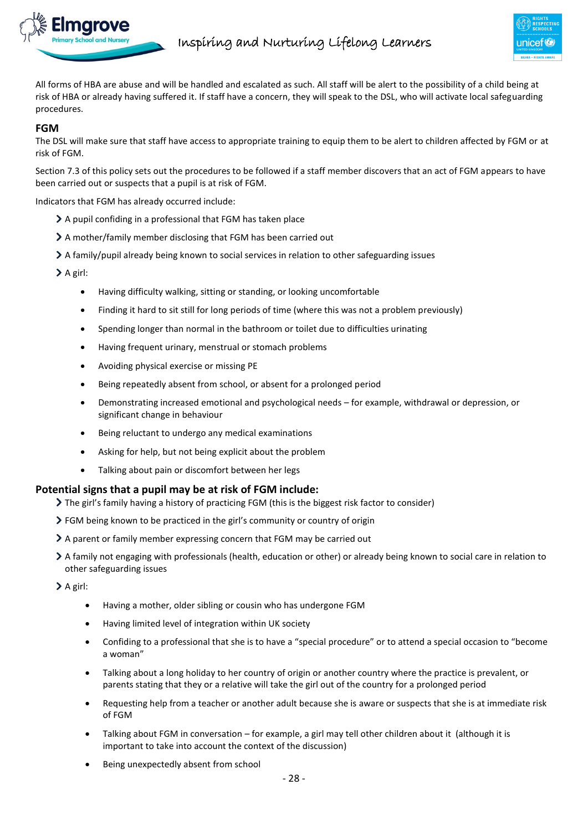

All forms of HBA are abuse and will be handled and escalated as such. All staff will be alert to the possibility of a child being at risk of HBA or already having suffered it. If staff have a concern, they will speak to the DSL, who will activate local safeguarding procedures.

#### **FGM**

The DSL will make sure that staff have access to appropriate training to equip them to be alert to children affected by FGM or at risk of FGM.

Section 7.3 of this policy sets out the procedures to be followed if a staff member discovers that an act of FGM appears to have been carried out or suspects that a pupil is at risk of FGM.

Indicators that FGM has already occurred include:

- $\geq$  A pupil confiding in a professional that FGM has taken place
- A mother/family member disclosing that FGM has been carried out
- A family/pupil already being known to social services in relation to other safeguarding issues

 $\geq$  A girl:

- Having difficulty walking, sitting or standing, or looking uncomfortable
- Finding it hard to sit still for long periods of time (where this was not a problem previously)
- Spending longer than normal in the bathroom or toilet due to difficulties urinating
- Having frequent urinary, menstrual or stomach problems
- Avoiding physical exercise or missing PE
- Being repeatedly absent from school, or absent for a prolonged period
- Demonstrating increased emotional and psychological needs for example, withdrawal or depression, or significant change in behaviour
- Being reluctant to undergo any medical examinations
- Asking for help, but not being explicit about the problem
- Talking about pain or discomfort between her legs

#### **Potential signs that a pupil may be at risk of FGM include:**

- The girl's family having a history of practicing FGM (this is the biggest risk factor to consider)
- FGM being known to be practiced in the girl's community or country of origin
- A parent or family member expressing concern that FGM may be carried out
- A family not engaging with professionals (health, education or other) or already being known to social care in relation to other safeguarding issues

> A girl:

- Having a mother, older sibling or cousin who has undergone FGM
- Having limited level of integration within UK society
- Confiding to a professional that she is to have a "special procedure" or to attend a special occasion to "become a woman"
- Talking about a long holiday to her country of origin or another country where the practice is prevalent, or parents stating that they or a relative will take the girl out of the country for a prolonged period
- Requesting help from a teacher or another adult because she is aware or suspects that she is at immediate risk of FGM
- Talking about FGM in conversation for example, a girl may tell other children about it (although it is important to take into account the context of the discussion)
- Being unexpectedly absent from school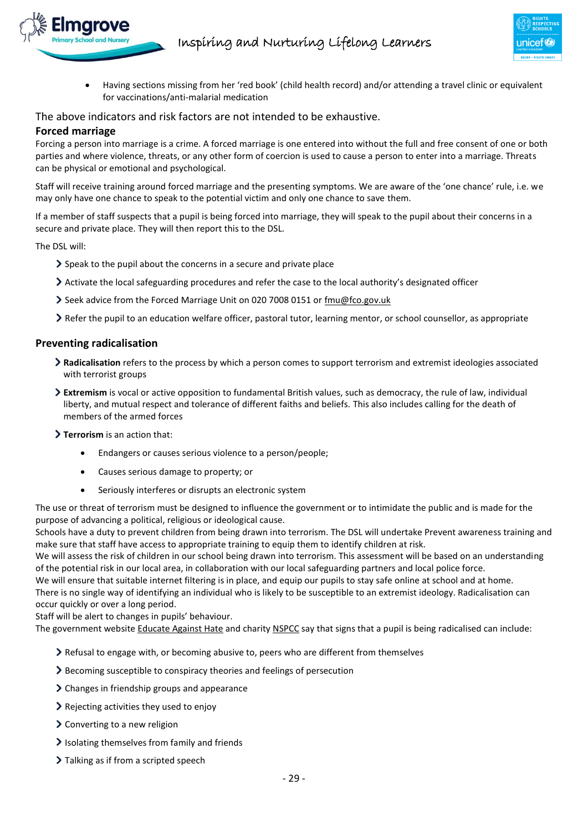

 Having sections missing from her 'red book' (child health record) and/or attending a travel clinic or equivalent for vaccinations/anti-malarial medication

The above indicators and risk factors are not intended to be exhaustive.

# **Forced marriage**

Forcing a person into marriage is a crime. A forced marriage is one entered into without the full and free consent of one or both parties and where violence, threats, or any other form of coercion is used to cause a person to enter into a marriage. Threats can be physical or emotional and psychological.

Staff will receive training around forced marriage and the presenting symptoms. We are aware of the 'one chance' rule, i.e. we may only have one chance to speak to the potential victim and only one chance to save them.

If a member of staff suspects that a pupil is being forced into marriage, they will speak to the pupil about their concerns in a secure and private place. They will then report this to the DSL.

The DSL will:

- Speak to the pupil about the concerns in a secure and private place
- Activate the local safeguarding procedures and refer the case to the local authority's designated officer
- Seek advice from the Forced Marriage Unit on 020 7008 0151 o[r fmu@fco.gov.uk](mailto:fmu@fco.gov.uk)
- Refer the pupil to an education welfare officer, pastoral tutor, learning mentor, or school counsellor, as appropriate

#### **Preventing radicalisation**

- **Radicalisation** refers to the process by which a person comes to support terrorism and extremist ideologies associated with terrorist groups
- **Extremism** is vocal or active opposition to fundamental British values, such as democracy, the rule of law, individual liberty, and mutual respect and tolerance of different faiths and beliefs. This also includes calling for the death of members of the armed forces
- **Terrorism** is an action that:
	- Endangers or causes serious violence to a person/people;
	- Causes serious damage to property; or
	- Seriously interferes or disrupts an electronic system

The use or threat of terrorism must be designed to influence the government or to intimidate the public and is made for the purpose of advancing a political, religious or ideological cause.

Schools have a duty to prevent children from being drawn into terrorism. The DSL will undertake Prevent awareness training and make sure that staff have access to appropriate training to equip them to identify children at risk.

We will assess the risk of children in our school being drawn into terrorism. This assessment will be based on an understanding of the potential risk in our local area, in collaboration with our local safeguarding partners and local police force.

We will ensure that suitable internet filtering is in place, and equip our pupils to stay safe online at school and at home. There is no single way of identifying an individual who is likely to be susceptible to an extremist ideology. Radicalisation can occur quickly or over a long period.

Staff will be alert to changes in pupils' behaviour.

The government websit[e Educate Against Hate](http://educateagainsthate.com/parents/what-are-the-warning-signs/) and charity [NSPCC](https://www.nspcc.org.uk/what-you-can-do/report-abuse/dedicated-helplines/protecting-children-from-radicalisation/) say that signs that a pupil is being radicalised can include:

- $\geq$  Refusal to engage with, or becoming abusive to, peers who are different from themselves
- Becoming susceptible to conspiracy theories and feelings of persecution
- $\geq$  Changes in friendship groups and appearance
- Rejecting activities they used to enjoy
- $\geq$  Converting to a new religion
- $\blacktriangleright$  Isolating themselves from family and friends
- > Talking as if from a scripted speech